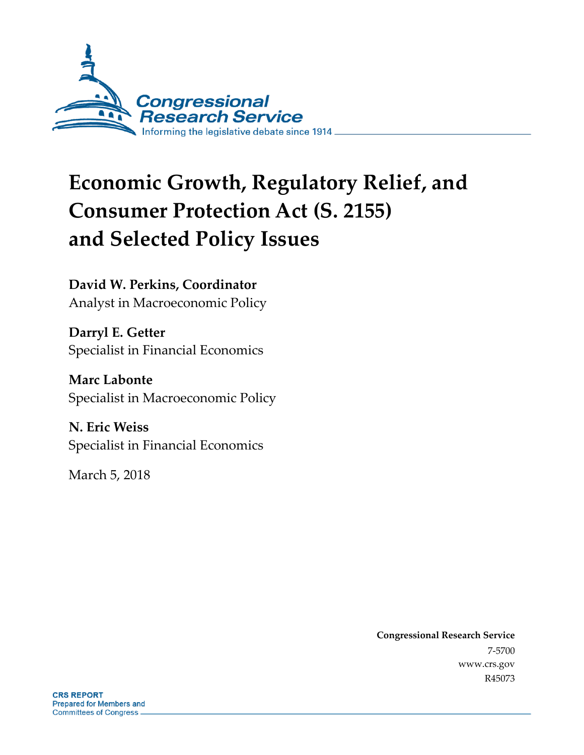

# **Economic Growth, Regulatory Relief, and Consumer Protection Act (S. 2155) and Selected Policy Issues**

### **David W. Perkins, Coordinator**

Analyst in Macroeconomic Policy

**Darryl E. Getter** Specialist in Financial Economics

**Marc Labonte** Specialist in Macroeconomic Policy

**N. Eric Weiss** Specialist in Financial Economics

March 5, 2018

**Congressional Research Service** 7-5700 www.crs.gov R45073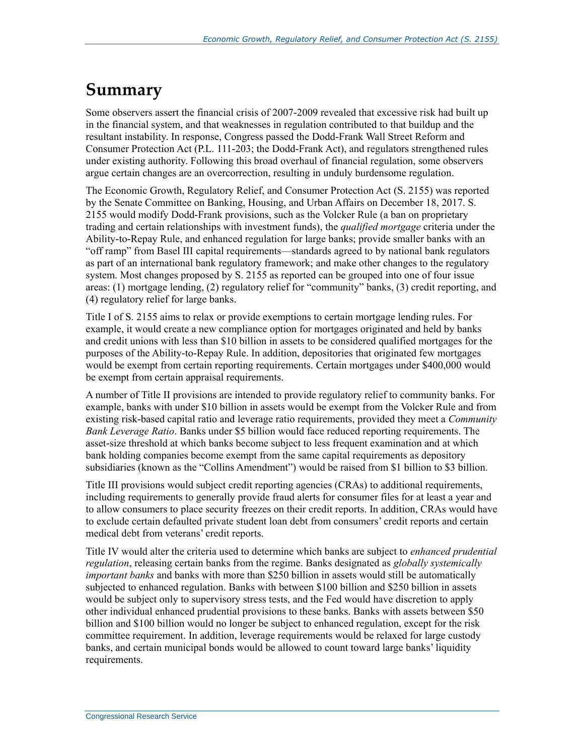## **Summary**

Some observers assert the financial crisis of 2007-2009 revealed that excessive risk had built up in the financial system, and that weaknesses in regulation contributed to that buildup and the resultant instability. In response, Congress passed the Dodd-Frank Wall Street Reform and Consumer Protection Act (P.L. 111-203; the Dodd-Frank Act), and regulators strengthened rules under existing authority. Following this broad overhaul of financial regulation, some observers argue certain changes are an overcorrection, resulting in unduly burdensome regulation.

The Economic Growth, Regulatory Relief, and Consumer Protection Act (S. 2155) was reported by the Senate Committee on Banking, Housing, and Urban Affairs on December 18, 2017. S. 2155 would modify Dodd-Frank provisions, such as the Volcker Rule (a ban on proprietary trading and certain relationships with investment funds), the *qualified mortgage* criteria under the Ability-to-Repay Rule, and enhanced regulation for large banks; provide smaller banks with an "off ramp" from Basel III capital requirements—standards agreed to by national bank regulators as part of an international bank regulatory framework; and make other changes to the regulatory system. Most changes proposed by S. 2155 as reported can be grouped into one of four issue areas: (1) mortgage lending, (2) regulatory relief for "community" banks, (3) credit reporting, and (4) regulatory relief for large banks.

Title I of S. 2155 aims to relax or provide exemptions to certain mortgage lending rules. For example, it would create a new compliance option for mortgages originated and held by banks and credit unions with less than \$10 billion in assets to be considered qualified mortgages for the purposes of the Ability-to-Repay Rule. In addition, depositories that originated few mortgages would be exempt from certain reporting requirements. Certain mortgages under \$400,000 would be exempt from certain appraisal requirements.

A number of Title II provisions are intended to provide regulatory relief to community banks. For example, banks with under \$10 billion in assets would be exempt from the Volcker Rule and from existing risk-based capital ratio and leverage ratio requirements, provided they meet a *Community Bank Leverage Ratio*. Banks under \$5 billion would face reduced reporting requirements. The asset-size threshold at which banks become subject to less frequent examination and at which bank holding companies become exempt from the same capital requirements as depository subsidiaries (known as the "Collins Amendment") would be raised from \$1 billion to \$3 billion.

Title III provisions would subject credit reporting agencies (CRAs) to additional requirements, including requirements to generally provide fraud alerts for consumer files for at least a year and to allow consumers to place security freezes on their credit reports. In addition, CRAs would have to exclude certain defaulted private student loan debt from consumers' credit reports and certain medical debt from veterans' credit reports.

Title IV would alter the criteria used to determine which banks are subject to *enhanced prudential regulation*, releasing certain banks from the regime. Banks designated as *globally systemically important banks* and banks with more than \$250 billion in assets would still be automatically subjected to enhanced regulation. Banks with between \$100 billion and \$250 billion in assets would be subject only to supervisory stress tests, and the Fed would have discretion to apply other individual enhanced prudential provisions to these banks. Banks with assets between \$50 billion and \$100 billion would no longer be subject to enhanced regulation, except for the risk committee requirement. In addition, leverage requirements would be relaxed for large custody banks, and certain municipal bonds would be allowed to count toward large banks' liquidity requirements.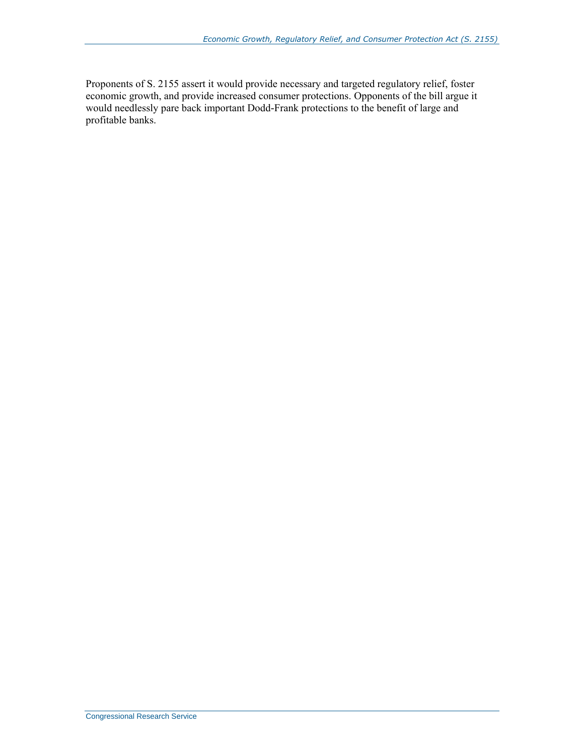Proponents of S. 2155 assert it would provide necessary and targeted regulatory relief, foster economic growth, and provide increased consumer protections. Opponents of the bill argue it would needlessly pare back important Dodd-Frank protections to the benefit of large and profitable banks.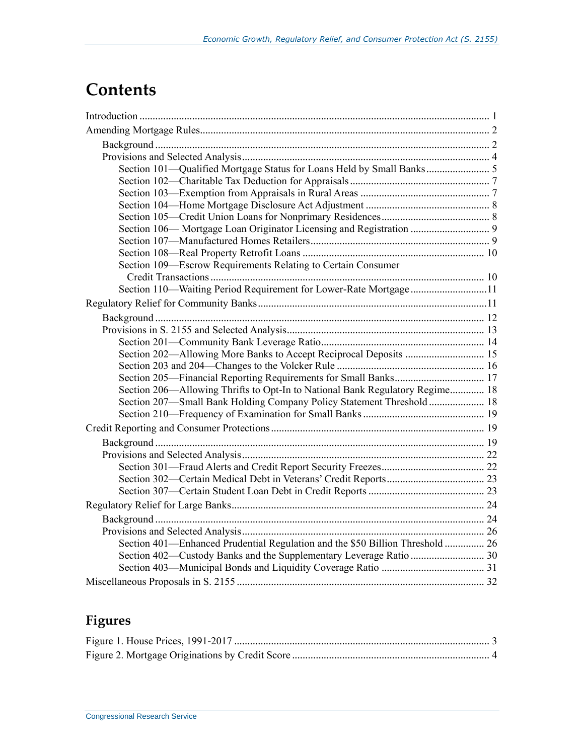## **Contents**

| Section 109-Escrow Requirements Relating to Certain Consumer                  |  |
|-------------------------------------------------------------------------------|--|
|                                                                               |  |
| Section 110—Waiting Period Requirement for Lower-Rate Mortgage11              |  |
|                                                                               |  |
|                                                                               |  |
|                                                                               |  |
|                                                                               |  |
| Section 202-Allowing More Banks to Accept Reciprocal Deposits  15             |  |
|                                                                               |  |
|                                                                               |  |
| Section 206-Allowing Thrifts to Opt-In to National Bank Regulatory Regime 18  |  |
| Section 207-Small Bank Holding Company Policy Statement Threshold 18          |  |
|                                                                               |  |
|                                                                               |  |
|                                                                               |  |
|                                                                               |  |
|                                                                               |  |
|                                                                               |  |
|                                                                               |  |
|                                                                               |  |
|                                                                               |  |
|                                                                               |  |
| Section 401—Enhanced Prudential Regulation and the \$50 Billion Threshold  26 |  |
| Section 402-Custody Banks and the Supplementary Leverage Ratio  30            |  |
|                                                                               |  |
|                                                                               |  |

### **Figures**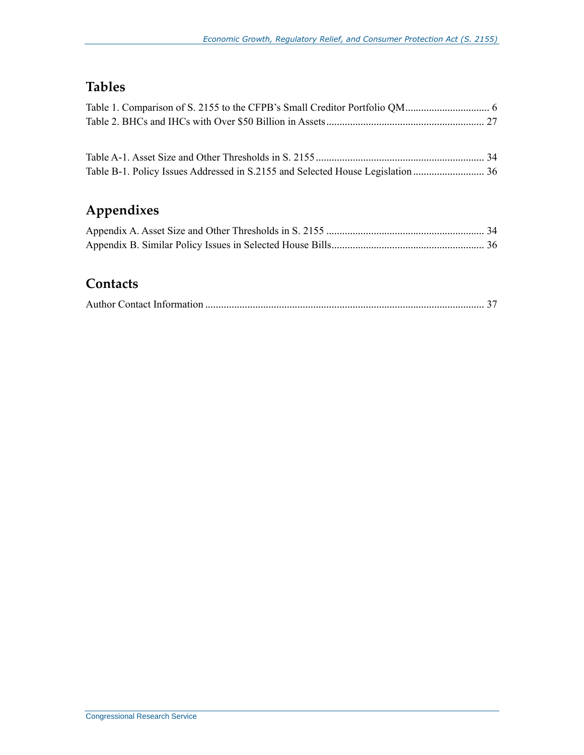### **Tables**

## **Appendixes**

### **Contacts**

|--|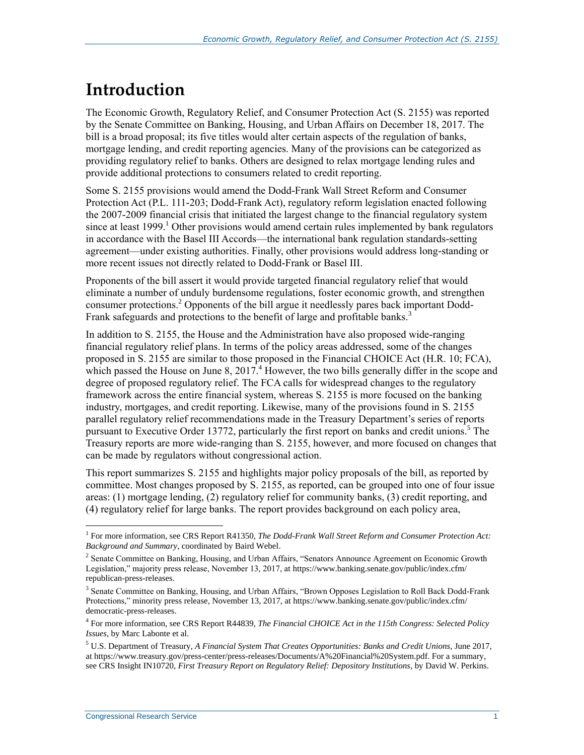## **Introduction**

The Economic Growth, Regulatory Relief, and Consumer Protection Act (S. 2155) was reported by the Senate Committee on Banking, Housing, and Urban Affairs on December 18, 2017. The bill is a broad proposal; its five titles would alter certain aspects of the regulation of banks, mortgage lending, and credit reporting agencies. Many of the provisions can be categorized as providing regulatory relief to banks. Others are designed to relax mortgage lending rules and provide additional protections to consumers related to credit reporting.

Some [S. 2155](http://www.congress.gov/cgi-lis/bdquery/z?d115:S.2155:) provisions would amend the Dodd-Frank Wall Street Reform and Consumer Protection Act (P.L. 111-203; Dodd-Frank Act), regulatory reform legislation enacted following the 2007-2009 financial crisis that initiated the largest change to the financial regulatory system since at least  $1999<sup>1</sup>$  Other provisions would amend certain rules implemented by bank regulators in accordance with the Basel III Accords—the international bank regulation standards-setting agreement—under existing authorities. Finally, other provisions would address long-standing or more recent issues not directly related to Dodd-Frank or Basel III.

Proponents of the bill assert it would provide targeted financial regulatory relief that would eliminate a number of unduly burdensome regulations, foster economic growth, and strengthen consumer protections.<sup>2</sup> Opponents of the bill argue it needlessly pares back important Dodd-Frank safeguards and protections to the benefit of large and profitable banks.<sup>3</sup>

In addition to [S. 2155,](http://www.congress.gov/cgi-lis/bdquery/z?d115:S.2155:) the House and the Administration have also proposed wide-ranging financial regulatory relief plans. In terms of the policy areas addressed, some of the changes proposed in S. 2155 are similar to those proposed in the Financial CHOICE Act [\(H.R. 10;](http://www.congress.gov/cgi-lis/bdquery/z?d115:H.R.10:) FCA), which passed the House on June 8,  $2017<sup>4</sup>$  However, the two bills generally differ in the scope and degree of proposed regulatory relief. The FCA calls for widespread changes to the regulatory framework across the entire financial system, whereas S. 2155 is more focused on the banking industry, mortgages, and credit reporting. Likewise, many of the provisions found in [S. 2155](http://www.congress.gov/cgi-lis/bdquery/z?d115:S.2155:) parallel regulatory relief recommendations made in the Treasury Department's series of reports pursuant to Executive Order 13772, particularly the first report on banks and credit unions.<sup>5</sup> The Treasury reports are more wide-ranging than S. 2155, however, and more focused on changes that can be made by regulators without congressional action.

This report summarizes [S. 2155](http://www.congress.gov/cgi-lis/bdquery/z?d115:S.2155:) and highlights major policy proposals of the bill, as reported by committee. Most changes proposed by S. 2155, as reported, can be grouped into one of four issue areas: (1) mortgage lending, (2) regulatory relief for community banks, (3) credit reporting, and (4) regulatory relief for large banks. The report provides background on each policy area,

<sup>&</sup>lt;sup>1</sup> For more information, see CRS Report R41350, *The Dodd-Frank Wall Street Reform and Consumer Protection Act: Background and Summary*, coordinated by Baird Webel.

<sup>&</sup>lt;sup>2</sup> Senate Committee on Banking, Housing, and Urban Affairs, "Senators Announce Agreement on Economic Growth Legislation," majority press release, November 13, 2017, at https://www.banking.senate.gov/public/index.cfm/ republican-press-releases.

<sup>&</sup>lt;sup>3</sup> Senate Committee on Banking, Housing, and Urban Affairs, "Brown Opposes Legislation to Roll Back Dodd-Frank Protections," minority press release, November 13, 2017, at https://www.banking.senate.gov/public/index.cfm/ democratic-press-releases.

<sup>4</sup> For more information, see CRS Report R44839, *The Financial CHOICE Act in the 115th Congress: Selected Policy Issues*, by Marc Labonte et al.

<sup>5</sup> U.S. Department of Treasury, *A Financial System That Creates Opportunities: Banks and Credit Unions*, June 2017, at https://www.treasury.gov/press-center/press-releases/Documents/A%20Financial%20System.pdf. For a summary, see CRS Insight IN10720, *First Treasury Report on Regulatory Relief: Depository Institutions*, by David W. Perkins.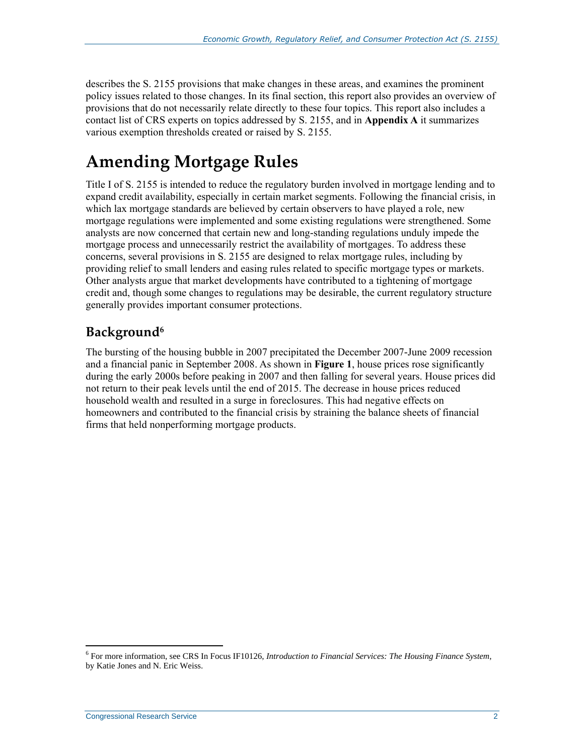describes the [S. 2155](http://www.congress.gov/cgi-lis/bdquery/z?d115:S.2155:) provisions that make changes in these areas, and examines the prominent policy issues related to those changes. In its final section, this report also provides an overview of provisions that do not necessarily relate directly to these four topics. This report also includes a contact list of CRS experts on topics addressed by S. 2155, and in **[Appendix A](#page-38-0)** it summarizes various exemption thresholds created or raised by [S. 2155.](http://www.congress.gov/cgi-lis/bdquery/z?d115:S.2155:)

## **Amending Mortgage Rules**

Title I of S. 2155 is intended to reduce the regulatory burden involved in mortgage lending and to expand credit availability, especially in certain market segments. Following the financial crisis, in which lax mortgage standards are believed by certain observers to have played a role, new mortgage regulations were implemented and some existing regulations were strengthened. Some analysts are now concerned that certain new and long-standing regulations unduly impede the mortgage process and unnecessarily restrict the availability of mortgages. To address these concerns, several provisions in [S. 2155](http://www.congress.gov/cgi-lis/bdquery/z?d115:S.2155:) are designed to relax mortgage rules, including by providing relief to small lenders and easing rules related to specific mortgage types or markets. Other analysts argue that market developments have contributed to a tightening of mortgage credit and, though some changes to regulations may be desirable, the current regulatory structure generally provides important consumer protections.

### **Background<sup>6</sup>**

The bursting of the housing bubble in 2007 precipitated the December 2007-June 2009 recession and a financial panic in September 2008. As shown in **[Figure 1](#page-7-0)**, house prices rose significantly during the early 2000s before peaking in 2007 and then falling for several years. House prices did not return to their peak levels until the end of 2015. The decrease in house prices reduced household wealth and resulted in a surge in foreclosures. This had negative effects on homeowners and contributed to the financial crisis by straining the balance sheets of financial firms that held nonperforming mortgage products.

<sup>6</sup> For more information, see CRS In Focus IF10126, *Introduction to Financial Services: The Housing Finance System*, by Katie Jones and N. Eric Weiss.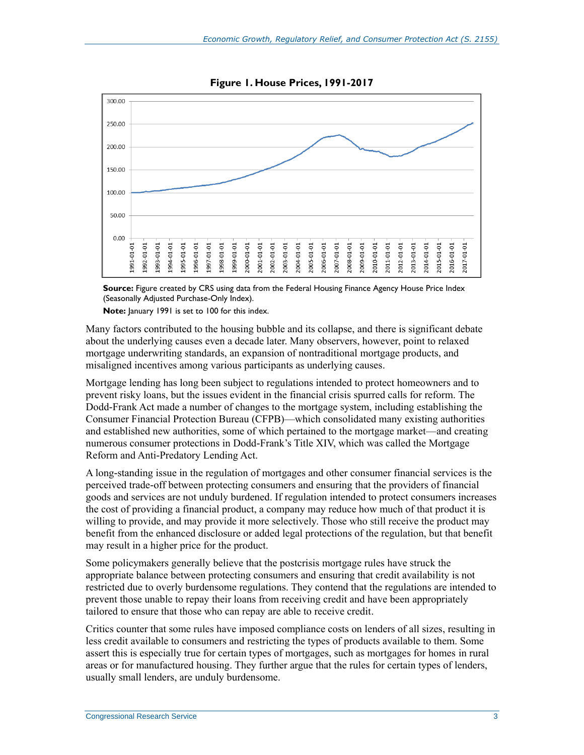<span id="page-7-0"></span>

**Figure 1. House Prices, 1991-2017**

**Source:** Figure created by CRS using data from the Federal Housing Finance Agency House Price Index (Seasonally Adjusted Purchase-Only Index).

**Note:** January 1991 is set to 100 for this index.

Many factors contributed to the housing bubble and its collapse, and there is significant debate about the underlying causes even a decade later. Many observers, however, point to relaxed mortgage underwriting standards, an expansion of nontraditional mortgage products, and misaligned incentives among various participants as underlying causes.

Mortgage lending has long been subject to regulations intended to protect homeowners and to prevent risky loans, but the issues evident in the financial crisis spurred calls for reform. The Dodd-Frank Act made a number of changes to the mortgage system, including establishing the Consumer Financial Protection Bureau (CFPB)—which consolidated many existing authorities and established new authorities, some of which pertained to the mortgage market—and creating numerous consumer protections in Dodd-Frank's Title XIV, which was called the Mortgage Reform and Anti-Predatory Lending Act.

A long-standing issue in the regulation of mortgages and other consumer financial services is the perceived trade-off between protecting consumers and ensuring that the providers of financial goods and services are not unduly burdened. If regulation intended to protect consumers increases the cost of providing a financial product, a company may reduce how much of that product it is willing to provide, and may provide it more selectively. Those who still receive the product may benefit from the enhanced disclosure or added legal protections of the regulation, but that benefit may result in a higher price for the product.

Some policymakers generally believe that the postcrisis mortgage rules have struck the appropriate balance between protecting consumers and ensuring that credit availability is not restricted due to overly burdensome regulations. They contend that the regulations are intended to prevent those unable to repay their loans from receiving credit and have been appropriately tailored to ensure that those who can repay are able to receive credit.

Critics counter that some rules have imposed compliance costs on lenders of all sizes, resulting in less credit available to consumers and restricting the types of products available to them. Some assert this is especially true for certain types of mortgages, such as mortgages for homes in rural areas or for manufactured housing. They further argue that the rules for certain types of lenders, usually small lenders, are unduly burdensome.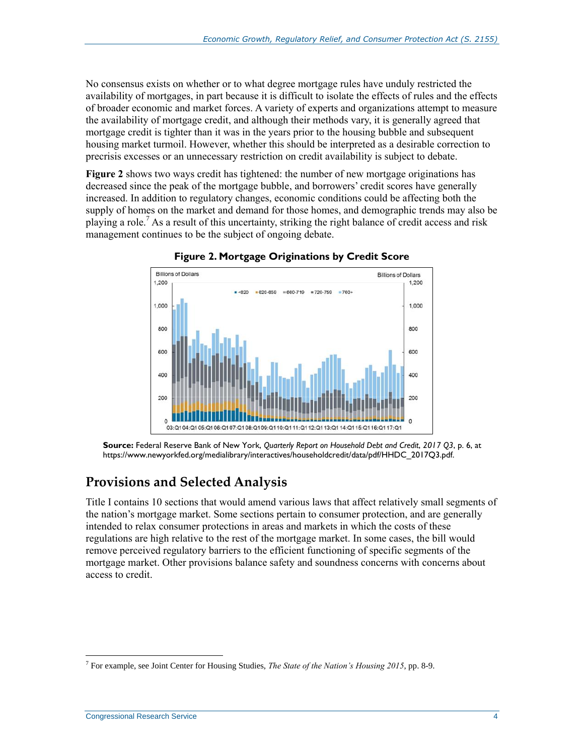No consensus exists on whether or to what degree mortgage rules have unduly restricted the availability of mortgages, in part because it is difficult to isolate the effects of rules and the effects of broader economic and market forces. A variety of experts and organizations attempt to measure the availability of mortgage credit, and although their methods vary, it is generally agreed that mortgage credit is tighter than it was in the years prior to the housing bubble and subsequent housing market turmoil. However, whether this should be interpreted as a desirable correction to precrisis excesses or an unnecessary restriction on credit availability is subject to debate.

**[Figure 2](#page-8-0)** shows two ways credit has tightened: the number of new mortgage originations has decreased since the peak of the mortgage bubble, and borrowers' credit scores have generally increased. In addition to regulatory changes, economic conditions could be affecting both the supply of homes on the market and demand for those homes, and demographic trends may also be playing a role.<sup>7</sup> As a result of this uncertainty, striking the right balance of credit access and risk management continues to be the subject of ongoing debate.

<span id="page-8-0"></span>

**Figure 2. Mortgage Originations by Credit Score**

**Source:** Federal Reserve Bank of New York, *Quarterly Report on Household Debt and Credit*, *2017 Q3*, p. 6, at https://www.newyorkfed.org/medialibrary/interactives/householdcredit/data/pdf/HHDC\_2017Q3.pdf.

### **Provisions and Selected Analysis**

Title I contains 10 sections that would amend various laws that affect relatively small segments of the nation's mortgage market. Some sections pertain to consumer protection, and are generally intended to relax consumer protections in areas and markets in which the costs of these regulations are high relative to the rest of the mortgage market. In some cases, the bill would remove perceived regulatory barriers to the efficient functioning of specific segments of the mortgage market. Other provisions balance safety and soundness concerns with concerns about access to credit.

 $\overline{a}$ 7 For example, see Joint Center for Housing Studies, *The State of the Nation's Housing 2015*, pp. 8-9.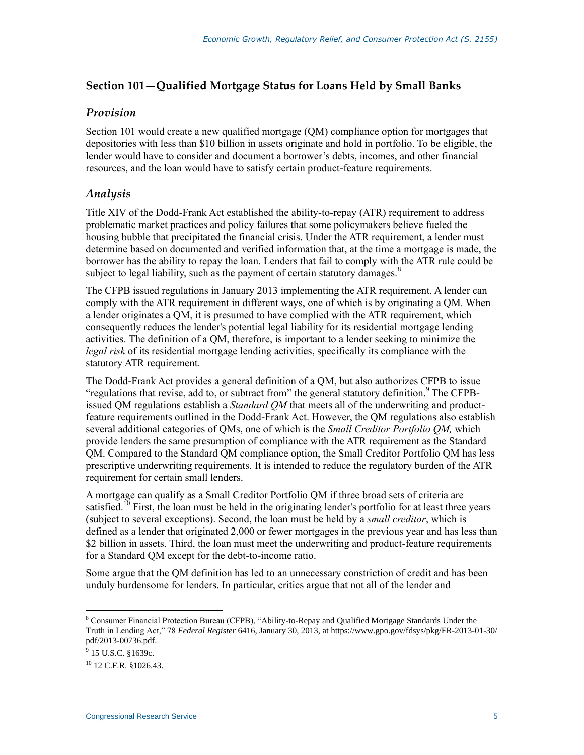#### **Section 101—Qualified Mortgage Status for Loans Held by Small Banks**

#### *Provision*

Section 101 would create a new qualified mortgage (QM) compliance option for mortgages that depositories with less than \$10 billion in assets originate and hold in portfolio. To be eligible, the lender would have to consider and document a borrower's debts, incomes, and other financial resources, and the loan would have to satisfy certain product-feature requirements.

#### *Analysis*

Title XIV of the Dodd-Frank Act established the ability-to-repay (ATR) requirement to address problematic market practices and policy failures that some policymakers believe fueled the housing bubble that precipitated the financial crisis. Under the ATR requirement, a lender must determine based on documented and verified information that, at the time a mortgage is made, the borrower has the ability to repay the loan. Lenders that fail to comply with the ATR rule could be subject to legal liability, such as the payment of certain statutory damages.<sup>8</sup>

The CFPB issued regulations in January 2013 implementing the ATR requirement. A lender can comply with the ATR requirement in different ways, one of which is by originating a QM. When a lender originates a QM, it is presumed to have complied with the ATR requirement, which consequently reduces the lender's potential legal liability for its residential mortgage lending activities. The definition of a QM, therefore, is important to a lender seeking to minimize the *legal risk* of its residential mortgage lending activities, specifically its compliance with the statutory ATR requirement.

The Dodd-Frank Act provides a general definition of a QM, but also authorizes CFPB to issue "regulations that revise, add to, or subtract from" the general statutory definition.<sup>9</sup> The CFPBissued QM regulations establish a *Standard QM* that meets all of the underwriting and productfeature requirements outlined in the Dodd-Frank Act. However, the QM regulations also establish several additional categories of QMs, one of which is the *Small Creditor Portfolio QM,* which provide lenders the same presumption of compliance with the ATR requirement as the Standard QM. Compared to the Standard QM compliance option, the Small Creditor Portfolio QM has less prescriptive underwriting requirements. It is intended to reduce the regulatory burden of the ATR requirement for certain small lenders.

A mortgage can qualify as a Small Creditor Portfolio QM if three broad sets of criteria are satisfied.<sup>10</sup> First, the loan must be held in the originating lender's portfolio for at least three years (subject to several exceptions). Second, the loan must be held by a *small creditor*, which is defined as a lender that originated 2,000 or fewer mortgages in the previous year and has less than \$2 billion in assets. Third, the loan must meet the underwriting and product-feature requirements for a Standard QM except for the debt-to-income ratio.

Some argue that the QM definition has led to an unnecessary constriction of credit and has been unduly burdensome for lenders. In particular, critics argue that not all of the lender and

<sup>8</sup> Consumer Financial Protection Bureau (CFPB), "Ability-to-Repay and Qualified Mortgage Standards Under the Truth in Lending Act," 78 *Federal Register* 6416, January 30, 2013, at https://www.gpo.gov/fdsys/pkg/FR-2013-01-30/ pdf/2013-00736.pdf.

<sup>&</sup>lt;sup>9</sup> 15 U.S.C. §1639c.

 $10$  12 C.F.R.  $$1026.43$ .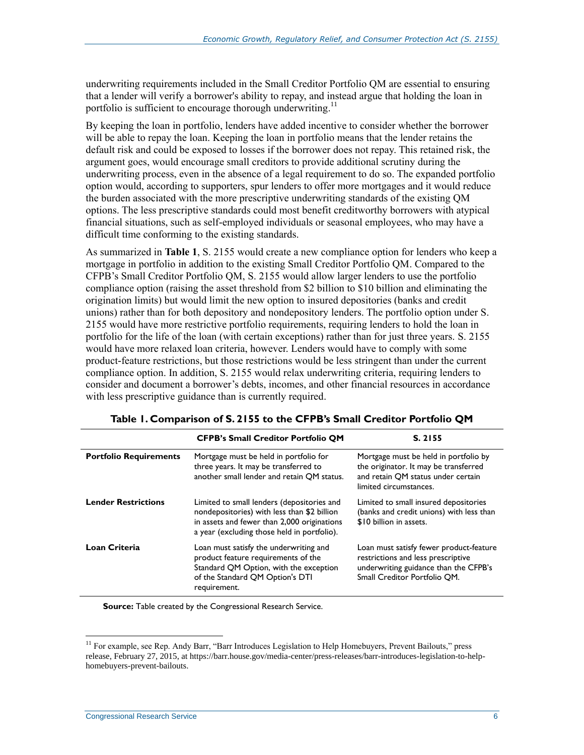underwriting requirements included in the Small Creditor Portfolio QM are essential to ensuring that a lender will verify a borrower's ability to repay, and instead argue that holding the loan in portfolio is sufficient to encourage thorough underwriting.<sup>11</sup>

By keeping the loan in portfolio, lenders have added incentive to consider whether the borrower will be able to repay the loan. Keeping the loan in portfolio means that the lender retains the default risk and could be exposed to losses if the borrower does not repay. This retained risk, the argument goes, would encourage small creditors to provide additional scrutiny during the underwriting process, even in the absence of a legal requirement to do so. The expanded portfolio option would, according to supporters, spur lenders to offer more mortgages and it would reduce the burden associated with the more prescriptive underwriting standards of the existing QM options. The less prescriptive standards could most benefit creditworthy borrowers with atypical financial situations, such as self-employed individuals or seasonal employees, who may have a difficult time conforming to the existing standards.

As summarized in **[Table 1](#page-10-0)**, [S. 2155](http://www.congress.gov/cgi-lis/bdquery/z?d115:S.2155:) would create a new compliance option for lenders who keep a mortgage in portfolio in addition to the existing Small Creditor Portfolio QM. Compared to the CFPB's Small Creditor Portfolio QM, S. 2155 would allow larger lenders to use the portfolio compliance option (raising the asset threshold from \$2 billion to \$10 billion and eliminating the origination limits) but would limit the new option to insured depositories (banks and credit unions) rather than for both depository and nondepository lenders. The portfolio option under [S.](http://www.congress.gov/cgi-lis/bdquery/z?d115:S.2155:)  [2155](http://www.congress.gov/cgi-lis/bdquery/z?d115:S.2155:) would have more restrictive portfolio requirements, requiring lenders to hold the loan in portfolio for the life of the loan (with certain exceptions) rather than for just three years. S. 2155 would have more relaxed loan criteria, however. Lenders would have to comply with some product-feature restrictions, but those restrictions would be less stringent than under the current compliance option. In addition, [S. 2155](http://www.congress.gov/cgi-lis/bdquery/z?d115:S.2155:) would relax underwriting criteria, requiring lenders to consider and document a borrower's debts, incomes, and other financial resources in accordance with less prescriptive guidance than is currently required.

<span id="page-10-0"></span>

|                               | <b>CFPB's Small Creditor Portfolio QM</b>                                                                                                                                               | S. 2155                                                                                                                                                |
|-------------------------------|-----------------------------------------------------------------------------------------------------------------------------------------------------------------------------------------|--------------------------------------------------------------------------------------------------------------------------------------------------------|
| <b>Portfolio Requirements</b> | Mortgage must be held in portfolio for<br>three years. It may be transferred to<br>another small lender and retain QM status.                                                           | Mortgage must be held in portfolio by<br>the originator. It may be transferred<br>and retain QM status under certain<br>limited circumstances.         |
| <b>Lender Restrictions</b>    | Limited to small lenders (depositories and<br>nondepositories) with less than \$2 billion<br>in assets and fewer than 2,000 originations<br>a year (excluding those held in portfolio). | Limited to small insured depositories<br>(banks and credit unions) with less than<br>\$10 billion in assets.                                           |
| <b>Loan Criteria</b>          | Loan must satisfy the underwriting and<br>product feature requirements of the<br>Standard QM Option, with the exception<br>of the Standard QM Option's DTI<br>requirement.              | Loan must satisfy fewer product-feature<br>restrictions and less prescriptive<br>underwriting guidance than the CFPB's<br>Small Creditor Portfolio QM. |

| Table 1. Comparison of S. 2155 to the CFPB's Small Creditor Portfolio QM |  |
|--------------------------------------------------------------------------|--|
|--------------------------------------------------------------------------|--|

**Source:** Table created by the Congressional Research Service.

<sup>&</sup>lt;sup>11</sup> For example, see Rep. Andy Barr, "Barr Introduces Legislation to Help Homebuyers, Prevent Bailouts," press release, February 27, 2015, at https://barr.house.gov/media-center/press-releases/barr-introduces-legislation-to-helphomebuyers-prevent-bailouts.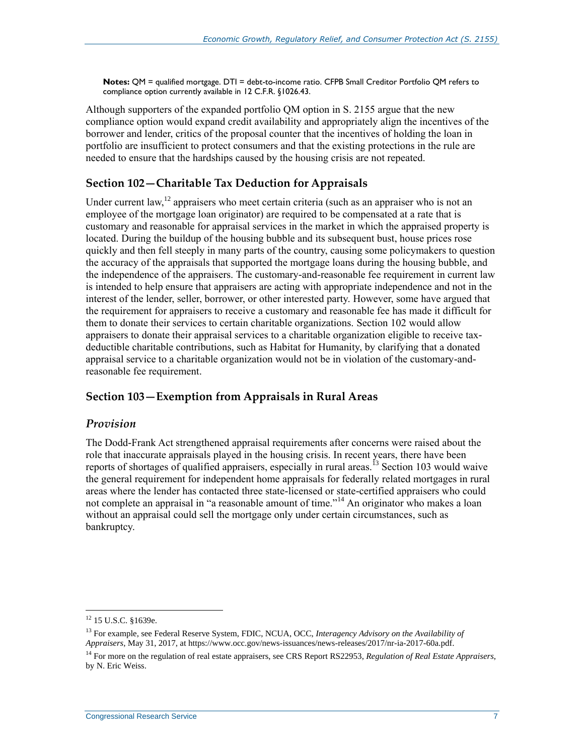**Notes:** QM = qualified mortgage. DTI = debt-to-income ratio. CFPB Small Creditor Portfolio QM refers to compliance option currently available in 12 C.F.R. §1026.43.

Although supporters of the expanded portfolio QM option in [S. 2155](http://www.congress.gov/cgi-lis/bdquery/z?d115:S.2155:) argue that the new compliance option would expand credit availability and appropriately align the incentives of the borrower and lender, critics of the proposal counter that the incentives of holding the loan in portfolio are insufficient to protect consumers and that the existing protections in the rule are needed to ensure that the hardships caused by the housing crisis are not repeated.

#### **Section 102—Charitable Tax Deduction for Appraisals**

Under current law,  $^{12}$  appraisers who meet certain criteria (such as an appraiser who is not an employee of the mortgage loan originator) are required to be compensated at a rate that is customary and reasonable for appraisal services in the market in which the appraised property is located. During the buildup of the housing bubble and its subsequent bust, house prices rose quickly and then fell steeply in many parts of the country, causing some policymakers to question the accuracy of the appraisals that supported the mortgage loans during the housing bubble, and the independence of the appraisers. The customary-and-reasonable fee requirement in current law is intended to help ensure that appraisers are acting with appropriate independence and not in the interest of the lender, seller, borrower, or other interested party. However, some have argued that the requirement for appraisers to receive a customary and reasonable fee has made it difficult for them to donate their services to certain charitable organizations. Section 102 would allow appraisers to donate their appraisal services to a charitable organization eligible to receive taxdeductible charitable contributions, such as Habitat for Humanity, by clarifying that a donated appraisal service to a charitable organization would not be in violation of the customary-andreasonable fee requirement.

#### **Section 103—Exemption from Appraisals in Rural Areas**

#### *Provision*

The Dodd-Frank Act strengthened appraisal requirements after concerns were raised about the role that inaccurate appraisals played in the housing crisis. In recent years, there have been reports of shortages of qualified appraisers, especially in rural areas.<sup>13</sup> Section 103 would waive the general requirement for independent home appraisals for federally related mortgages in rural areas where the lender has contacted three state-licensed or state-certified appraisers who could not complete an appraisal in "a reasonable amount of time."<sup>14</sup> An originator who makes a loan without an appraisal could sell the mortgage only under certain circumstances, such as bankruptcy.

<sup>&</sup>lt;sup>12</sup> 15 U.S.C. §1639e.

<sup>13</sup> For example, see Federal Reserve System, FDIC, NCUA, OCC, *Interagency Advisory on the Availability of Appraisers*, May 31, 2017, at https://www.occ.gov/news-issuances/news-releases/2017/nr-ia-2017-60a.pdf.

<sup>&</sup>lt;sup>14</sup> For more on the regulation of real estate appraisers, see CRS Report RS22953, Regulation of Real Estate Appraisers, by N. Eric Weiss.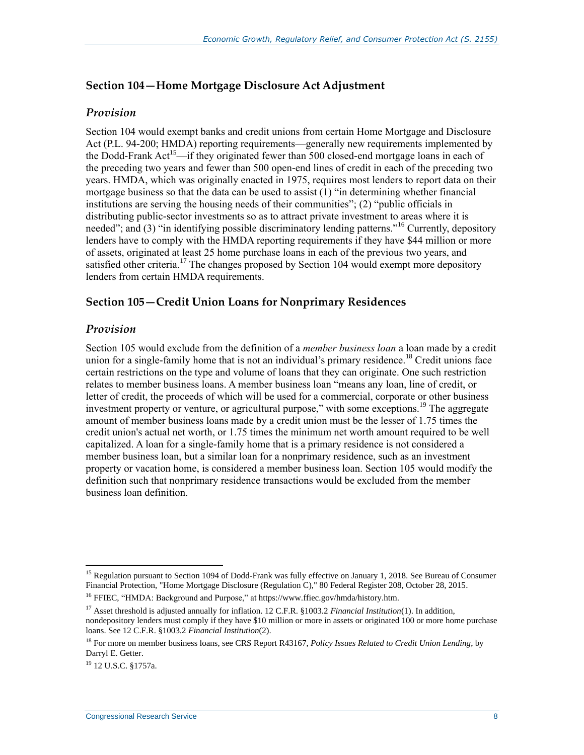#### **Section 104—Home Mortgage Disclosure Act Adjustment**

#### *Provision*

Section 104 would exempt banks and credit unions from certain Home Mortgage and Disclosure Act (P.L. 94-200; HMDA) reporting requirements—generally new requirements implemented by the Dodd-Frank Act<sup>15</sup>—if they originated fewer than 500 closed-end mortgage loans in each of the preceding two years and fewer than 500 open-end lines of credit in each of the preceding two years. HMDA, which was originally enacted in 1975, requires most lenders to report data on their mortgage business so that the data can be used to assist (1) "in determining whether financial institutions are serving the housing needs of their communities"; (2) "public officials in distributing public-sector investments so as to attract private investment to areas where it is needed"; and (3) "in identifying possible discriminatory lending patterns."<sup>16</sup> Currently, depository lenders have to comply with the HMDA reporting requirements if they have \$44 million or more of assets, originated at least 25 home purchase loans in each of the previous two years, and satisfied other criteria.<sup>17</sup> The changes proposed by Section 104 would exempt more depository lenders from certain HMDA requirements.

#### **Section 105—Credit Union Loans for Nonprimary Residences**

#### *Provision*

Section 105 would exclude from the definition of a *member business loan* a loan made by a credit union for a single-family home that is not an individual's primary residence.<sup>18</sup> Credit unions face certain restrictions on the type and volume of loans that they can originate. One such restriction relates to member business loans. A member business loan "means any loan, line of credit, or letter of credit, the proceeds of which will be used for a commercial, corporate or other business investment property or venture, or agricultural purpose," with some exceptions.<sup>19</sup> The aggregate amount of member business loans made by a credit union must be the lesser of 1.75 times the credit union's actual net worth, or 1.75 times the minimum net worth amount required to be well capitalized. A loan for a single-family home that is a primary residence is not considered a member business loan, but a similar loan for a nonprimary residence, such as an investment property or vacation home, is considered a member business loan. Section 105 would modify the definition such that nonprimary residence transactions would be excluded from the member business loan definition.

 $\overline{a}$ <sup>15</sup> Regulation pursuant to Section 1094 of Dodd-Frank was fully effective on January 1, 2018. See Bureau of Consumer Financial Protection, "Home Mortgage Disclosure (Regulation C)," 80 Federal Register 208, October 28, 2015.

<sup>&</sup>lt;sup>16</sup> FFIEC, "HMDA: Background and Purpose," at https://www.ffiec.gov/hmda/history.htm.

<sup>17</sup> Asset threshold is adjusted annually for inflation. 12 C.F.R. §1003.2 *Financial Institution*(1). In addition, nondepository lenders must comply if they have \$10 million or more in assets or originated 100 or more home purchase loans. See 12 C.F.R. §1003.2 *Financial Institution*(2).

<sup>18</sup> For more on member business loans, see CRS Report R43167, *Policy Issues Related to Credit Union Lending*, by Darryl E. Getter.

<sup>19</sup> 12 U.S.C. §1757a.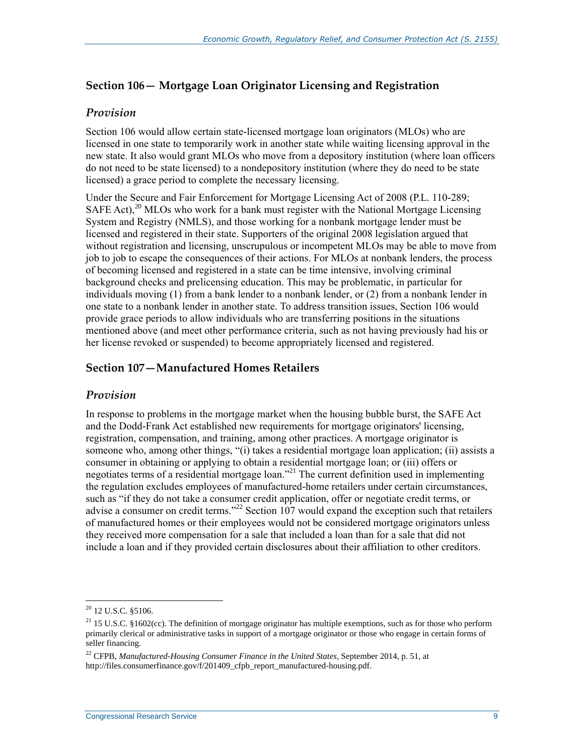#### **Section 106— Mortgage Loan Originator Licensing and Registration**

#### *Provision*

Section 106 would allow certain state-licensed mortgage loan originators (MLOs) who are licensed in one state to temporarily work in another state while waiting licensing approval in the new state. It also would grant MLOs who move from a depository institution (where loan officers do not need to be state licensed) to a nondepository institution (where they do need to be state licensed) a grace period to complete the necessary licensing.

Under the Secure and Fair Enforcement for Mortgage Licensing Act of 2008 [\(P.L. 110-289;](http://www.congress.gov/cgi-lis/bdquery/R?d110:FLD002:@1(110+289)) SAFE Act),<sup>20</sup> MLOs who work for a bank must register with the National Mortgage Licensing System and Registry (NMLS), and those working for a nonbank mortgage lender must be licensed and registered in their state. Supporters of the original 2008 legislation argued that without registration and licensing, unscrupulous or incompetent MLOs may be able to move from job to job to escape the consequences of their actions. For MLOs at nonbank lenders, the process of becoming licensed and registered in a state can be time intensive, involving criminal background checks and prelicensing education. This may be problematic, in particular for individuals moving (1) from a bank lender to a nonbank lender, or (2) from a nonbank lender in one state to a nonbank lender in another state. To address transition issues, Section 106 would provide grace periods to allow individuals who are transferring positions in the situations mentioned above (and meet other performance criteria, such as not having previously had his or her license revoked or suspended) to become appropriately licensed and registered.

#### **Section 107—Manufactured Homes Retailers**

#### *Provision*

In response to problems in the mortgage market when the housing bubble burst, the SAFE Act and the Dodd-Frank Act established new requirements for mortgage originators' licensing, registration, compensation, and training, among other practices. A mortgage originator is someone who, among other things, "(i) takes a residential mortgage loan application; (ii) assists a consumer in obtaining or applying to obtain a residential mortgage loan; or (iii) offers or negotiates terms of a residential mortgage loan." <sup>21</sup> The current definition used in implementing the regulation excludes employees of manufactured-home retailers under certain circumstances, such as "if they do not take a consumer credit application, offer or negotiate credit terms, or advise a consumer on credit terms."<sup>22</sup> Section 107 would expand the exception such that retailers of manufactured homes or their employees would not be considered mortgage originators unless they received more compensation for a sale that included a loan than for a sale that did not include a loan and if they provided certain disclosures about their affiliation to other creditors.

 $20$  12 U.S.C. §5106.

 $21$  15 U.S.C. §1602(cc). The definition of mortgage originator has multiple exemptions, such as for those who perform primarily clerical or administrative tasks in support of a mortgage originator or those who engage in certain forms of seller financing.

<sup>22</sup> CFPB, *Manufactured-Housing Consumer Finance in the United States*, September 2014, p. 51, at http://files.consumerfinance.gov/f/201409\_cfpb\_report\_manufactured-housing.pdf.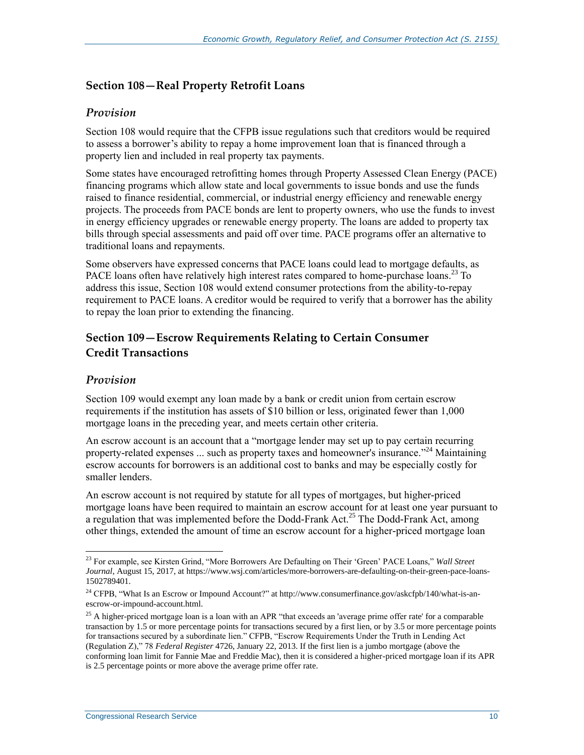#### **Section 108—Real Property Retrofit Loans**

#### *Provision*

Section 108 would require that the CFPB issue regulations such that creditors would be required to assess a borrower's ability to repay a home improvement loan that is financed through a property lien and included in real property tax payments.

Some states have encouraged retrofitting homes through Property Assessed Clean Energy (PACE) financing programs which allow state and local governments to issue bonds and use the funds raised to finance residential, commercial, or industrial energy efficiency and renewable energy projects. The proceeds from PACE bonds are lent to property owners, who use the funds to invest in energy efficiency upgrades or renewable energy property. The loans are added to property tax bills through special assessments and paid off over time. PACE programs offer an alternative to traditional loans and repayments.

Some observers have expressed concerns that PACE loans could lead to mortgage defaults, as PACE loans often have relatively high interest rates compared to home-purchase loans.<sup>23</sup> To address this issue, Section 108 would extend consumer protections from the ability-to-repay requirement to PACE loans. A creditor would be required to verify that a borrower has the ability to repay the loan prior to extending the financing.

#### **Section 109—Escrow Requirements Relating to Certain Consumer Credit Transactions**

#### *Provision*

 $\overline{a}$ 

Section 109 would exempt any loan made by a bank or credit union from certain escrow requirements if the institution has assets of \$10 billion or less, originated fewer than 1,000 mortgage loans in the preceding year, and meets certain other criteria.

An escrow account is an account that a "mortgage lender may set up to pay certain recurring property-related expenses ... such as property taxes and homeowner's insurance."<sup>24</sup> Maintaining escrow accounts for borrowers is an additional cost to banks and may be especially costly for smaller lenders.

An escrow account is not required by statute for all types of mortgages, but higher-priced mortgage loans have been required to maintain an escrow account for at least one year pursuant to a regulation that was implemented before the Dodd-Frank Act.<sup>25</sup> The Dodd-Frank Act, among other things, extended the amount of time an escrow account for a higher-priced mortgage loan

<sup>23</sup> For example, see Kirsten Grind, "More Borrowers Are Defaulting on Their 'Green' PACE Loans," *Wall Street Journal*, August 15, 2017, at https://www.wsj.com/articles/more-borrowers-are-defaulting-on-their-green-pace-loans-1502789401.

<sup>&</sup>lt;sup>24</sup> CFPB, "What Is an Escrow or Impound Account?" at http://www.consumerfinance.gov/askcfpb/140/what-is-anescrow-or-impound-account.html.

<sup>&</sup>lt;sup>25</sup> A higher-priced mortgage loan is a loan with an APR "that exceeds an 'average prime offer rate' for a comparable transaction by 1.5 or more percentage points for transactions secured by a first lien, or by 3.5 or more percentage points for transactions secured by a subordinate lien." CFPB, "Escrow Requirements Under the Truth in Lending Act (Regulation Z)," 78 *Federal Register* 4726, January 22, 2013. If the first lien is a jumbo mortgage (above the conforming loan limit for Fannie Mae and Freddie Mac), then it is considered a higher-priced mortgage loan if its APR is 2.5 percentage points or more above the average prime offer rate.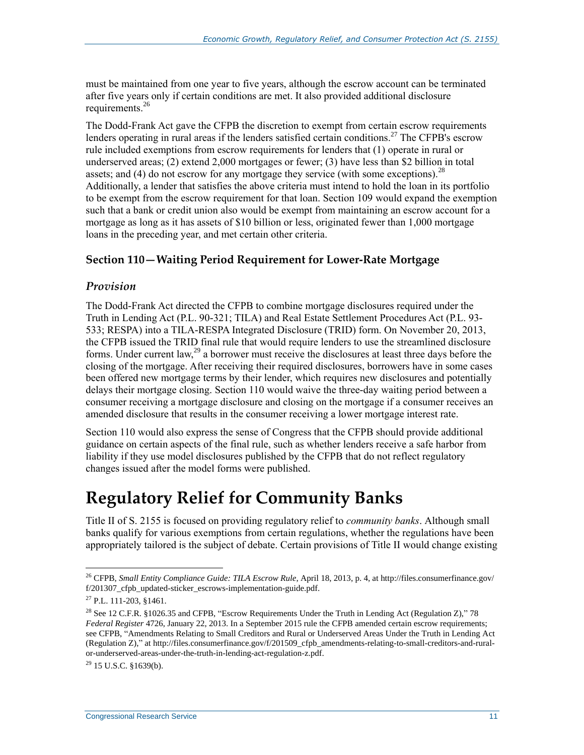must be maintained from one year to five years, although the escrow account can be terminated after five years only if certain conditions are met. It also provided additional disclosure requirements.<sup>26</sup>

The Dodd-Frank Act gave the CFPB the discretion to exempt from certain escrow requirements lenders operating in rural areas if the lenders satisfied certain conditions.<sup>27</sup> The CFPB's escrow rule included exemptions from escrow requirements for lenders that (1) operate in rural or underserved areas; (2) extend 2,000 mortgages or fewer; (3) have less than \$2 billion in total assets; and (4) do not escrow for any mortgage they service (with some exceptions).<sup>28</sup> Additionally, a lender that satisfies the above criteria must intend to hold the loan in its portfolio to be exempt from the escrow requirement for that loan. Section 109 would expand the exemption such that a bank or credit union also would be exempt from maintaining an escrow account for a mortgage as long as it has assets of \$10 billion or less, originated fewer than 1,000 mortgage loans in the preceding year, and met certain other criteria.

#### **Section 110—Waiting Period Requirement for Lower-Rate Mortgage**

#### *Provision*

The Dodd-Frank Act directed the CFPB to combine mortgage disclosures required under the Truth in Lending Act (P.L. 90-321; TILA) and Real Estate Settlement Procedures Act (P.L. 93- 533; RESPA) into a TILA-RESPA Integrated Disclosure (TRID) form. On November 20, 2013, the CFPB issued the TRID final rule that would require lenders to use the streamlined disclosure forms. Under current law,<sup>29</sup> a borrower must receive the disclosures at least three days before the closing of the mortgage. After receiving their required disclosures, borrowers have in some cases been offered new mortgage terms by their lender, which requires new disclosures and potentially delays their mortgage closing. Section 110 would waive the three-day waiting period between a consumer receiving a mortgage disclosure and closing on the mortgage if a consumer receives an amended disclosure that results in the consumer receiving a lower mortgage interest rate.

Section 110 would also express the sense of Congress that the CFPB should provide additional guidance on certain aspects of the final rule, such as whether lenders receive a safe harbor from liability if they use model disclosures published by the CFPB that do not reflect regulatory changes issued after the model forms were published.

## **Regulatory Relief for Community Banks**

Title II of [S. 2155](http://www.congress.gov/cgi-lis/bdquery/z?d115:S.2155:) is focused on providing regulatory relief to *community banks*. Although small banks qualify for various exemptions from certain regulations, whether the regulations have been appropriately tailored is the subject of debate. Certain provisions of Title II would change existing

<sup>26</sup> CFPB, *Small Entity Compliance Guide: TILA Escrow Rule*, April 18, 2013, p. 4, at http://files.consumerfinance.gov/ f/201307\_cfpb\_updated-sticker\_escrows-implementation-guide.pdf.

 $27$  P.L. 111-203, §1461.

<sup>&</sup>lt;sup>28</sup> See 12 C.F.R. §1026.35 and CFPB, "Escrow Requirements Under the Truth in Lending Act (Regulation Z)," 78 *Federal Register* 4726, January 22, 2013. In a September 2015 rule the CFPB amended certain escrow requirements; see CFPB, "Amendments Relating to Small Creditors and Rural or Underserved Areas Under the Truth in Lending Act (Regulation Z)," at http://files.consumerfinance.gov/f/201509\_cfpb\_amendments-relating-to-small-creditors-and-ruralor-underserved-areas-under-the-truth-in-lending-act-regulation-z.pdf.

 $^{29}$  15 U.S.C. §1639(b).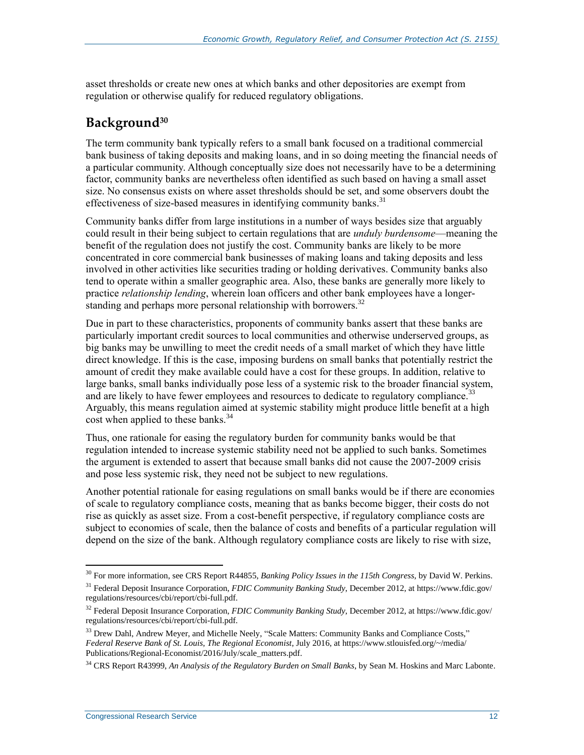asset thresholds or create new ones at which banks and other depositories are exempt from regulation or otherwise qualify for reduced regulatory obligations.

### **Background<sup>30</sup>**

The term community bank typically refers to a small bank focused on a traditional commercial bank business of taking deposits and making loans, and in so doing meeting the financial needs of a particular community. Although conceptually size does not necessarily have to be a determining factor, community banks are nevertheless often identified as such based on having a small asset size. No consensus exists on where asset thresholds should be set, and some observers doubt the effectiveness of size-based measures in identifying community banks.<sup>31</sup>

Community banks differ from large institutions in a number of ways besides size that arguably could result in their being subject to certain regulations that are *unduly burdensome*—meaning the benefit of the regulation does not justify the cost. Community banks are likely to be more concentrated in core commercial bank businesses of making loans and taking deposits and less involved in other activities like securities trading or holding derivatives. Community banks also tend to operate within a smaller geographic area. Also, these banks are generally more likely to practice *relationship lending*, wherein loan officers and other bank employees have a longerstanding and perhaps more personal relationship with borrowers.<sup>32</sup>

Due in part to these characteristics, proponents of community banks assert that these banks are particularly important credit sources to local communities and otherwise underserved groups, as big banks may be unwilling to meet the credit needs of a small market of which they have little direct knowledge. If this is the case, imposing burdens on small banks that potentially restrict the amount of credit they make available could have a cost for these groups. In addition, relative to large banks, small banks individually pose less of a systemic risk to the broader financial system, and are likely to have fewer employees and resources to dedicate to regulatory compliance.<sup>33</sup> Arguably, this means regulation aimed at systemic stability might produce little benefit at a high cost when applied to these banks.<sup>34</sup>

Thus, one rationale for easing the regulatory burden for community banks would be that regulation intended to increase systemic stability need not be applied to such banks. Sometimes the argument is extended to assert that because small banks did not cause the 2007-2009 crisis and pose less systemic risk, they need not be subject to new regulations.

Another potential rationale for easing regulations on small banks would be if there are economies of scale to regulatory compliance costs, meaning that as banks become bigger, their costs do not rise as quickly as asset size. From a cost-benefit perspective, if regulatory compliance costs are subject to economies of scale, then the balance of costs and benefits of a particular regulation will depend on the size of the bank. Although regulatory compliance costs are likely to rise with size,

<sup>30</sup> For more information, see CRS Report R44855, *Banking Policy Issues in the 115th Congress*, by David W. Perkins.

<sup>31</sup> Federal Deposit Insurance Corporation, *FDIC Community Banking Study*, December 2012, at https://www.fdic.gov/ regulations/resources/cbi/report/cbi-full.pdf.

<sup>32</sup> Federal Deposit Insurance Corporation, *FDIC Community Banking Study*, December 2012, at https://www.fdic.gov/ regulations/resources/cbi/report/cbi-full.pdf.

<sup>&</sup>lt;sup>33</sup> Drew Dahl, Andrew Meyer, and Michelle Neely, "Scale Matters: Community Banks and Compliance Costs," *Federal Reserve Bank of St. Louis, The Regional Economist*, July 2016, at https://www.stlouisfed.org/~/media/ Publications/Regional-Economist/2016/July/scale\_matters.pdf.

<sup>34</sup> CRS Report R43999, *An Analysis of the Regulatory Burden on Small Banks*, by Sean M. Hoskins and Marc Labonte.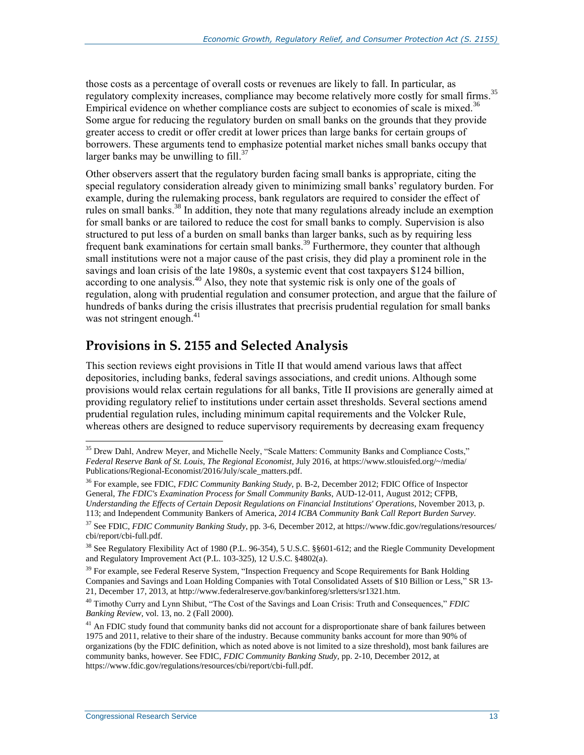those costs as a percentage of overall costs or revenues are likely to fall. In particular, as regulatory complexity increases, compliance may become relatively more costly for small firms.<sup>35</sup> Empirical evidence on whether compliance costs are subject to economies of scale is mixed.<sup>36</sup> Some argue for reducing the regulatory burden on small banks on the grounds that they provide greater access to credit or offer credit at lower prices than large banks for certain groups of borrowers. These arguments tend to emphasize potential market niches small banks occupy that larger banks may be unwilling to fill.<sup>37</sup>

Other observers assert that the regulatory burden facing small banks is appropriate, citing the special regulatory consideration already given to minimizing small banks' regulatory burden. For example, during the rulemaking process, bank regulators are required to consider the effect of rules on small banks. <sup>38</sup> In addition, they note that many regulations already include an exemption for small banks or are tailored to reduce the cost for small banks to comply. Supervision is also structured to put less of a burden on small banks than larger banks, such as by requiring less frequent bank examinations for certain small banks.<sup>39</sup> Furthermore, they counter that although small institutions were not a major cause of the past crisis, they did play a prominent role in the savings and loan crisis of the late 1980s, a systemic event that cost taxpayers \$124 billion, according to one analysis.<sup>40</sup> Also, they note that systemic risk is only one of the goals of regulation, along with prudential regulation and consumer protection, and argue that the failure of hundreds of banks during the crisis illustrates that precrisis prudential regulation for small banks was not stringent enough.<sup>41</sup>

### **Provisions in S. 2155 and Selected Analysis**

This section reviews eight provisions in Title II that would amend various laws that affect depositories, including banks, federal savings associations, and credit unions. Although some provisions would relax certain regulations for all banks, Title II provisions are generally aimed at providing regulatory relief to institutions under certain asset thresholds. Several sections amend prudential regulation rules, including minimum capital requirements and the Volcker Rule, whereas others are designed to reduce supervisory requirements by decreasing exam frequency

<sup>&</sup>lt;sup>35</sup> Drew Dahl, Andrew Meyer, and Michelle Neely, "Scale Matters: Community Banks and Compliance Costs," *Federal Reserve Bank of St. Louis, The Regional Economist*, July 2016, at https://www.stlouisfed.org/~/media/ Publications/Regional-Economist/2016/July/scale\_matters.pdf.

<sup>36</sup> For example, see FDIC, *FDIC Community Banking Study*, p. B-2, December 2012; FDIC Office of Inspector General, *The FDIC's Examination Process for Small Community Banks*, AUD-12-011, August 2012; CFPB, *Understanding the Effects of Certain Deposit Regulations on Financial Institutions' Operations*, November 2013, p. 113; and Independent Community Bankers of America, *2014 ICBA Community Bank Call Report Burden Survey.*

<sup>37</sup> See FDIC, *FDIC Community Banking Study*, pp. 3-6, December 2012, at https://www.fdic.gov/regulations/resources/ cbi/report/cbi-full.pdf.

<sup>&</sup>lt;sup>38</sup> See Regulatory Flexibility Act of 1980 (P.L. 96-354), 5 U.S.C. §§601-612; and the Riegle Community Development and Regulatory Improvement Act (P.L. 103-325), 12 U.S.C. §4802(a).

<sup>&</sup>lt;sup>39</sup> For example, see Federal Reserve System, "Inspection Frequency and Scope Requirements for Bank Holding Companies and Savings and Loan Holding Companies with Total Consolidated Assets of \$10 Billion or Less," SR 13- 21, December 17, 2013, at http://www.federalreserve.gov/bankinforeg/srletters/sr1321.htm.

<sup>40</sup> Timothy Curry and Lynn Shibut, "The Cost of the Savings and Loan Crisis: Truth and Consequences," *FDIC Banking Review*, vol. 13, no. 2 (Fall 2000).

<sup>&</sup>lt;sup>41</sup> An FDIC study found that community banks did not account for a disproportionate share of bank failures between 1975 and 2011, relative to their share of the industry. Because community banks account for more than 90% of organizations (by the FDIC definition, which as noted above is not limited to a size threshold), most bank failures are community banks, however. See FDIC, *FDIC Community Banking Study*, pp. 2-10, December 2012, at https://www.fdic.gov/regulations/resources/cbi/report/cbi-full.pdf.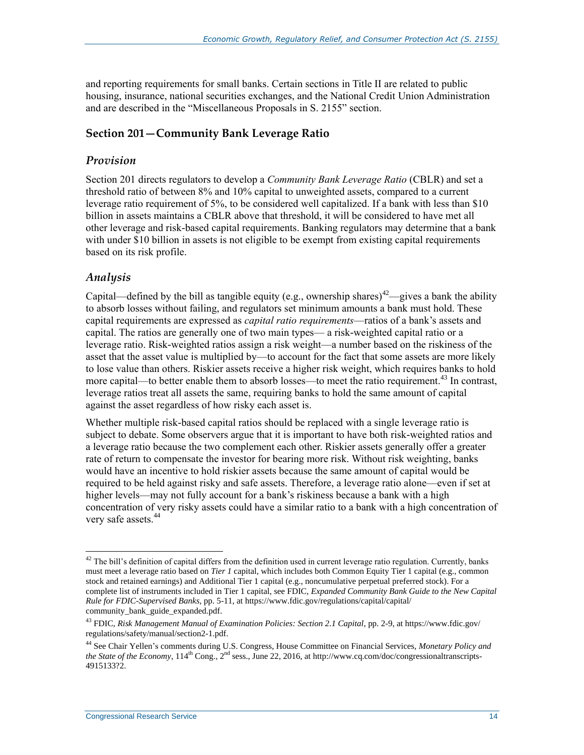and reporting requirements for small banks. Certain sections in Title II are related to public housing, insurance, national securities exchanges, and the National Credit Union Administration and are described in the ["Miscellaneous Proposals](#page-36-0) in [S. 2155"](http://www.congress.gov/cgi-lis/bdquery/z?d115:S.2155:) section.

#### **Section 201—Community Bank Leverage Ratio**

#### *Provision*

Section 201 directs regulators to develop a *Community Bank Leverage Ratio* (CBLR) and set a threshold ratio of between 8% and 10% capital to unweighted assets, compared to a current leverage ratio requirement of 5%, to be considered well capitalized. If a bank with less than \$10 billion in assets maintains a CBLR above that threshold, it will be considered to have met all other leverage and risk-based capital requirements. Banking regulators may determine that a bank with under \$10 billion in assets is not eligible to be exempt from existing capital requirements based on its risk profile.

#### *Analysis*

 $\overline{a}$ 

Capital—defined by the bill as tangible equity (e.g., ownership shares)<sup>42</sup>—gives a bank the ability to absorb losses without failing, and regulators set minimum amounts a bank must hold. These capital requirements are expressed as *capital ratio requirements*—ratios of a bank's assets and capital. The ratios are generally one of two main types— a risk-weighted capital ratio or a leverage ratio. Risk-weighted ratios assign a risk weight—a number based on the riskiness of the asset that the asset value is multiplied by—to account for the fact that some assets are more likely to lose value than others. Riskier assets receive a higher risk weight, which requires banks to hold more capital—to better enable them to absorb losses—to meet the ratio requirement.<sup>43</sup> In contrast, leverage ratios treat all assets the same, requiring banks to hold the same amount of capital against the asset regardless of how risky each asset is.

Whether multiple risk-based capital ratios should be replaced with a single leverage ratio is subject to debate. Some observers argue that it is important to have both risk-weighted ratios and a leverage ratio because the two complement each other. Riskier assets generally offer a greater rate of return to compensate the investor for bearing more risk. Without risk weighting, banks would have an incentive to hold riskier assets because the same amount of capital would be required to be held against risky and safe assets. Therefore, a leverage ratio alone—even if set at higher levels—may not fully account for a bank's riskiness because a bank with a high concentration of very risky assets could have a similar ratio to a bank with a high concentration of very safe assets.<sup>44</sup>

 $42$  The bill's definition of capital differs from the definition used in current leverage ratio regulation. Currently, banks must meet a leverage ratio based on *Tier 1* capital, which includes both Common Equity Tier 1 capital (e.g., common stock and retained earnings) and Additional Tier 1 capital (e.g., noncumulative perpetual preferred stock). For a complete list of instruments included in Tier 1 capital, see FDIC, *Expanded Community Bank Guide to the New Capital Rule for FDIC-Supervised Banks*, pp. 5-11, at https://www.fdic.gov/regulations/capital/capital/ community\_bank\_guide\_expanded.pdf.

<sup>&</sup>lt;sup>43</sup> FDIC, *Risk Management Manual of Examination Policies: Section 2.1 Capital*, pp. 2-9, at https://www.fdic.gov/ regulations/safety/manual/section2-1.pdf.

<sup>44</sup> See Chair Yellen's comments during U.S. Congress, House Committee on Financial Services, *Monetary Policy and the State of the Economy*,  $114^{\text{th}}$  Cong.,  $2^{\text{nd}}$  sess., June 22, 2016, at http://www.cq.com/doc/congressionaltranscripts-4915133?2.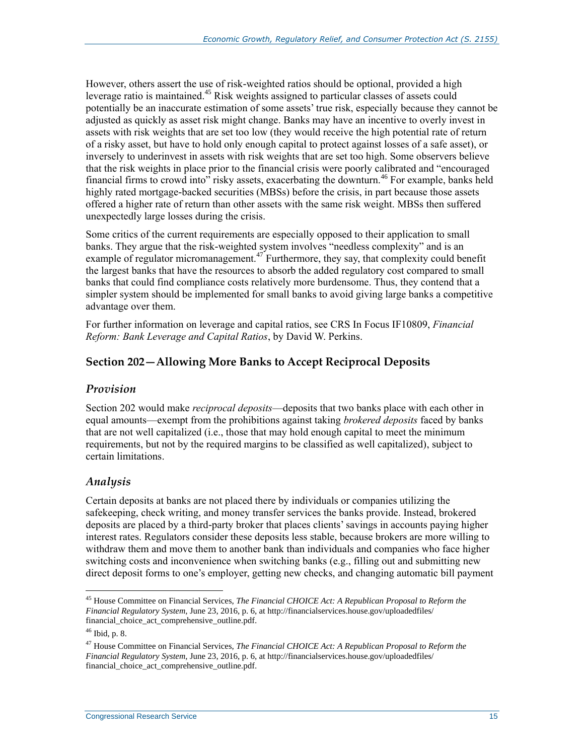However, others assert the use of risk-weighted ratios should be optional, provided a high leverage ratio is maintained.<sup>45</sup> Risk weights assigned to particular classes of assets could potentially be an inaccurate estimation of some assets' true risk, especially because they cannot be adjusted as quickly as asset risk might change. Banks may have an incentive to overly invest in assets with risk weights that are set too low (they would receive the high potential rate of return of a risky asset, but have to hold only enough capital to protect against losses of a safe asset), or inversely to underinvest in assets with risk weights that are set too high. Some observers believe that the risk weights in place prior to the financial crisis were poorly calibrated and "encouraged financial firms to crowd into" risky assets, exacerbating the downturn.<sup>46</sup> For example, banks held highly rated mortgage-backed securities (MBSs) before the crisis, in part because those assets offered a higher rate of return than other assets with the same risk weight. MBSs then suffered unexpectedly large losses during the crisis.

Some critics of the current requirements are especially opposed to their application to small banks. They argue that the risk-weighted system involves "needless complexity" and is an example of regulator micromanagement.<sup>47</sup> Furthermore, they say, that complexity could benefit the largest banks that have the resources to absorb the added regulatory cost compared to small banks that could find compliance costs relatively more burdensome. Thus, they contend that a simpler system should be implemented for small banks to avoid giving large banks a competitive advantage over them.

For further information on leverage and capital ratios, see CRS In Focus IF10809, *Financial Reform: Bank Leverage and Capital Ratios*, by David W. Perkins.

#### **Section 202—Allowing More Banks to Accept Reciprocal Deposits**

#### *Provision*

Section 202 would make *reciprocal deposits*—deposits that two banks place with each other in equal amounts—exempt from the prohibitions against taking *brokered deposits* faced by banks that are not well capitalized (i.e., those that may hold enough capital to meet the minimum requirements, but not by the required margins to be classified as well capitalized), subject to certain limitations.

#### *Analysis*

Certain deposits at banks are not placed there by individuals or companies utilizing the safekeeping, check writing, and money transfer services the banks provide. Instead, brokered deposits are placed by a third-party broker that places clients' savings in accounts paying higher interest rates. Regulators consider these deposits less stable, because brokers are more willing to withdraw them and move them to another bank than individuals and companies who face higher switching costs and inconvenience when switching banks (e.g., filling out and submitting new direct deposit forms to one's employer, getting new checks, and changing automatic bill payment

<sup>45</sup> House Committee on Financial Services, *The Financial CHOICE Act: A Republican Proposal to Reform the Financial Regulatory System*, June 23, 2016, p. 6, at http://financialservices.house.gov/uploadedfiles/ financial\_choice\_act\_comprehensive\_outline.pdf.

<sup>46</sup> Ibid, p. 8.

<sup>47</sup> House Committee on Financial Services, *The Financial CHOICE Act: A Republican Proposal to Reform the Financial Regulatory System*, June 23, 2016, p. 6, at http://financialservices.house.gov/uploadedfiles/ financial\_choice\_act\_comprehensive\_outline.pdf.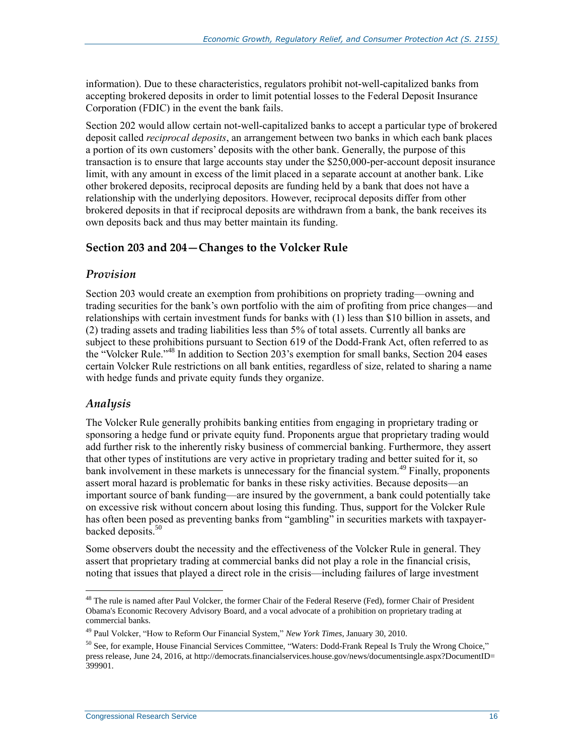information). Due to these characteristics, regulators prohibit not-well-capitalized banks from accepting brokered deposits in order to limit potential losses to the Federal Deposit Insurance Corporation (FDIC) in the event the bank fails.

Section 202 would allow certain not-well-capitalized banks to accept a particular type of brokered deposit called *reciprocal deposits*, an arrangement between two banks in which each bank places a portion of its own customers' deposits with the other bank. Generally, the purpose of this transaction is to ensure that large accounts stay under the \$250,000-per-account deposit insurance limit, with any amount in excess of the limit placed in a separate account at another bank. Like other brokered deposits, reciprocal deposits are funding held by a bank that does not have a relationship with the underlying depositors. However, reciprocal deposits differ from other brokered deposits in that if reciprocal deposits are withdrawn from a bank, the bank receives its own deposits back and thus may better maintain its funding.

#### **Section 203 and 204—Changes to the Volcker Rule**

#### *Provision*

Section 203 would create an exemption from prohibitions on propriety trading—owning and trading securities for the bank's own portfolio with the aim of profiting from price changes—and relationships with certain investment funds for banks with (1) less than \$10 billion in assets, and (2) trading assets and trading liabilities less than 5% of total assets. Currently all banks are subject to these prohibitions pursuant to Section 619 of the Dodd-Frank Act, often referred to as the "Volcker Rule."<sup>48</sup> In addition to Section 203's exemption for small banks, Section 204 eases certain Volcker Rule restrictions on all bank entities, regardless of size, related to sharing a name with hedge funds and private equity funds they organize.

#### *Analysis*

 $\overline{a}$ 

The Volcker Rule generally prohibits banking entities from engaging in proprietary trading or sponsoring a hedge fund or private equity fund. Proponents argue that proprietary trading would add further risk to the inherently risky business of commercial banking. Furthermore, they assert that other types of institutions are very active in proprietary trading and better suited for it, so bank involvement in these markets is unnecessary for the financial system.<sup>49</sup> Finally, proponents assert moral hazard is problematic for banks in these risky activities. Because deposits—an important source of bank funding—are insured by the government, a bank could potentially take on excessive risk without concern about losing this funding. Thus, support for the Volcker Rule has often been posed as preventing banks from "gambling" in securities markets with taxpayerbacked deposits.<sup>50</sup>

Some observers doubt the necessity and the effectiveness of the Volcker Rule in general. They assert that proprietary trading at commercial banks did not play a role in the financial crisis, noting that issues that played a direct role in the crisis—including failures of large investment

<sup>&</sup>lt;sup>48</sup> The rule is named after Paul Volcker, the former Chair of the Federal Reserve (Fed), former Chair of President Obama's Economic Recovery Advisory Board, and a vocal advocate of a prohibition on proprietary trading at commercial banks.

<sup>49</sup> Paul Volcker, "How to Reform Our Financial System," *New York Times*, January 30, 2010.

 $50$  See, for example, House Financial Services Committee, "Waters: Dodd-Frank Repeal Is Truly the Wrong Choice," press release, June 24, 2016, at http://democrats.financialservices.house.gov/news/documentsingle.aspx?DocumentID= .<br>399901.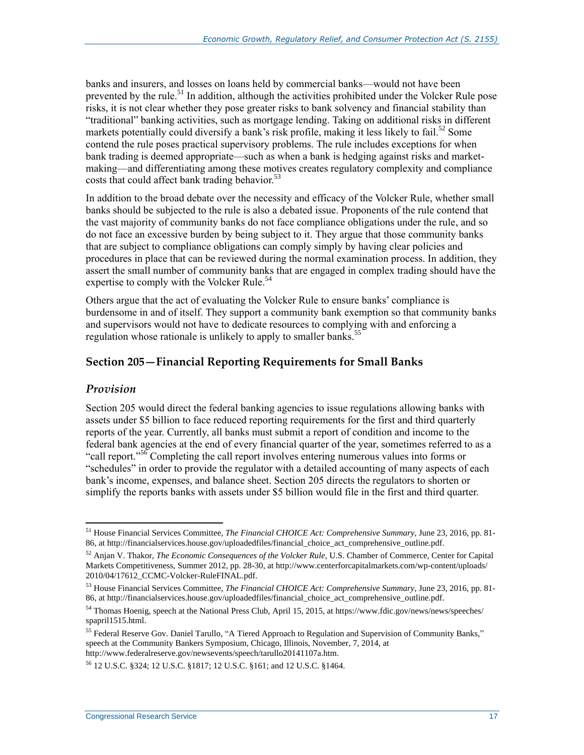banks and insurers, and losses on loans held by commercial banks—would not have been prevented by the rule.<sup>51</sup> In addition, although the activities prohibited under the Volcker Rule pose risks, it is not clear whether they pose greater risks to bank solvency and financial stability than "traditional" banking activities, such as mortgage lending. Taking on additional risks in different markets potentially could diversify a bank's risk profile, making it less likely to fail.<sup>52</sup> Some contend the rule poses practical supervisory problems. The rule includes exceptions for when bank trading is deemed appropriate—such as when a bank is hedging against risks and marketmaking—and differentiating among these motives creates regulatory complexity and compliance costs that could affect bank trading behavior.<sup>53</sup>

In addition to the broad debate over the necessity and efficacy of the Volcker Rule, whether small banks should be subjected to the rule is also a debated issue. Proponents of the rule contend that the vast majority of community banks do not face compliance obligations under the rule, and so do not face an excessive burden by being subject to it. They argue that those community banks that are subject to compliance obligations can comply simply by having clear policies and procedures in place that can be reviewed during the normal examination process. In addition, they assert the small number of community banks that are engaged in complex trading should have the expertise to comply with the Volcker Rule.<sup>54</sup>

Others argue that the act of evaluating the Volcker Rule to ensure banks' compliance is burdensome in and of itself. They support a community bank exemption so that community banks and supervisors would not have to dedicate resources to complying with and enforcing a regulation whose rationale is unlikely to apply to smaller banks.<sup>55</sup>

#### **Section 205—Financial Reporting Requirements for Small Banks**

#### *Provision*

 $\overline{a}$ 

Section 205 would direct the federal banking agencies to issue regulations allowing banks with assets under \$5 billion to face reduced reporting requirements for the first and third quarterly reports of the year. Currently, all banks must submit a report of condition and income to the federal bank agencies at the end of every financial quarter of the year, sometimes referred to as a "call report."<sup>56</sup> Completing the call report involves entering numerous values into forms or "schedules" in order to provide the regulator with a detailed accounting of many aspects of each bank's income, expenses, and balance sheet. Section 205 directs the regulators to shorten or simplify the reports banks with assets under \$5 billion would file in the first and third quarter.

<sup>51</sup> House Financial Services Committee, *The Financial CHOICE Act: Comprehensive Summary*, June 23, 2016, pp. 81- 86, at http://financialservices.house.gov/uploadedfiles/financial\_choice\_act\_comprehensive\_outline.pdf.

<sup>52</sup> Anjan V. Thakor, *The Economic Consequences of the Volcker Rule*, U.S. Chamber of Commerce, Center for Capital Markets Competitiveness, Summer 2012, pp. 28-30, at http://www.centerforcapitalmarkets.com/wp-content/uploads/ 2010/04/17612\_CCMC-Volcker-RuleFINAL.pdf.

<sup>53</sup> House Financial Services Committee, *The Financial CHOICE Act: Comprehensive Summary*, June 23, 2016, pp. 81- 86, at http://financialservices.house.gov/uploadedfiles/financial\_choice\_act\_comprehensive\_outline.pdf.

<sup>54</sup> Thomas Hoenig, speech at the National Press Club, April 15, 2015, at https://www.fdic.gov/news/news/speeches/ spapril1515.html.

<sup>&</sup>lt;sup>55</sup> Federal Reserve Gov. Daniel Tarullo, "A Tiered Approach to Regulation and Supervision of Community Banks," speech at the Community Bankers Symposium, Chicago, Illinois, November, 7, 2014, at http://www.federalreserve.gov/newsevents/speech/tarullo20141107a.htm.

<sup>56</sup> 12 U.S.C. §324; 12 U.S.C. §1817; 12 U.S.C. §161; and 12 U.S.C. §1464.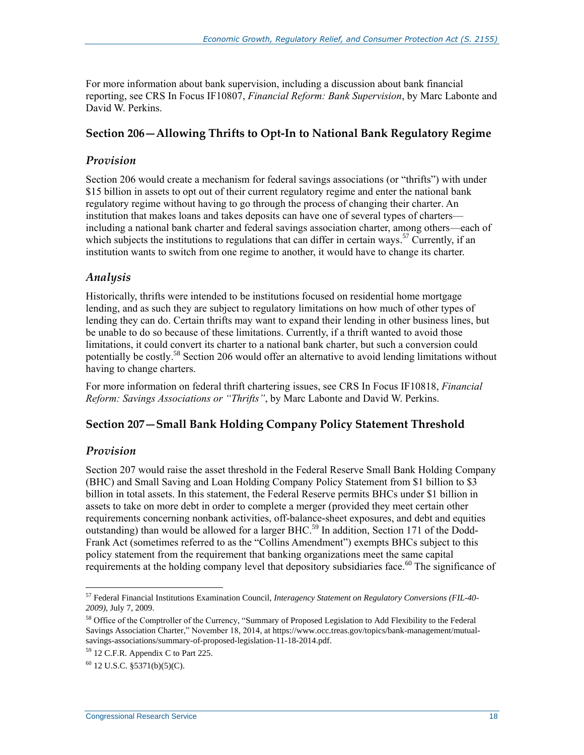For more information about bank supervision, including a discussion about bank financial reporting, see CRS In Focus IF10807, *[Financial Reform: Bank Supervision](http://www.crs.gov/Reports/IF10807)*, by Marc Labonte and David W. Perkins.

#### **Section 206—Allowing Thrifts to Opt-In to National Bank Regulatory Regime**

#### *Provision*

Section 206 would create a mechanism for federal savings associations (or "thrifts") with under \$15 billion in assets to opt out of their current regulatory regime and enter the national bank regulatory regime without having to go through the process of changing their charter. An institution that makes loans and takes deposits can have one of several types of charters including a national bank charter and federal savings association charter, among others—each of which subjects the institutions to regulations that can differ in certain ways.<sup>57</sup> Currently, if an institution wants to switch from one regime to another, it would have to change its charter.

#### *Analysis*

Historically, thrifts were intended to be institutions focused on residential home mortgage lending, and as such they are subject to regulatory limitations on how much of other types of lending they can do. Certain thrifts may want to expand their lending in other business lines, but be unable to do so because of these limitations. Currently, if a thrift wanted to avoid those limitations, it could convert its charter to a national bank charter, but such a conversion could potentially be costly.<sup>58</sup> Section 206 would offer an alternative to avoid lending limitations without having to change charters.

For more information on federal thrift chartering issues, see CRS In Focus IF10818, *Financial Reform: Savings Associations or "Thrifts"*, by Marc Labonte and David W. Perkins.

#### **Section 207—Small Bank Holding Company Policy Statement Threshold**

#### *Provision*

 $\overline{a}$ 

Section 207 would raise the asset threshold in the Federal Reserve Small Bank Holding Company (BHC) and Small Saving and Loan Holding Company Policy Statement from \$1 billion to \$3 billion in total assets. In this statement, the Federal Reserve permits BHCs under \$1 billion in assets to take on more debt in order to complete a merger (provided they meet certain other requirements concerning nonbank activities, off-balance-sheet exposures, and debt and equities outstanding) than would be allowed for a larger BHC.<sup>59</sup> In addition, Section 171 of the Dodd-Frank Act (sometimes referred to as the "Collins Amendment") exempts BHCs subject to this policy statement from the requirement that banking organizations meet the same capital requirements at the holding company level that depository subsidiaries face.<sup>60</sup> The significance of

<sup>57</sup> Federal Financial Institutions Examination Council, *Interagency Statement on Regulatory Conversions (FIL-40- 2009)*, July 7, 2009.

<sup>58</sup> Office of the Comptroller of the Currency, "Summary of Proposed Legislation to Add Flexibility to the Federal Savings Association Charter," November 18, 2014, at https://www.occ.treas.gov/topics/bank-management/mutualsavings-associations/summary-of-proposed-legislation-11-18-2014.pdf.

<sup>59</sup> 12 C.F.R. Appendix C to Part 225.

 $^{60}$  12 U.S.C.  $$5371(b)(5)(C)$ .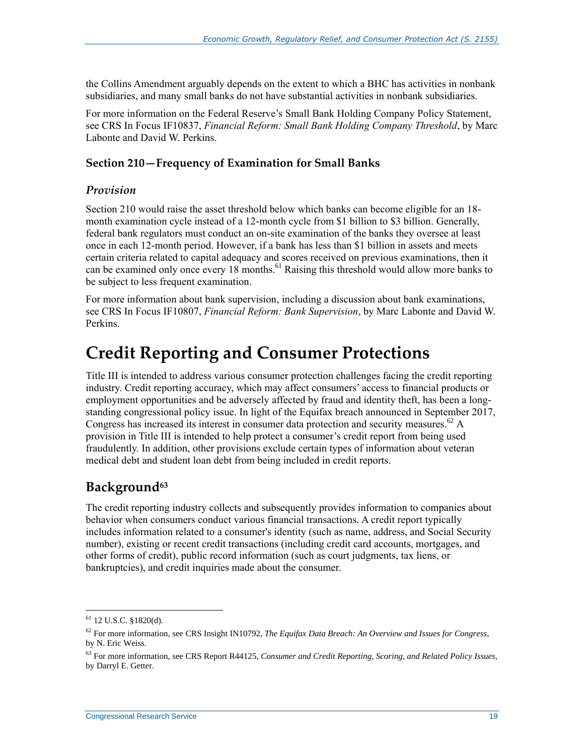the Collins Amendment arguably depends on the extent to which a BHC has activities in nonbank subsidiaries, and many small banks do not have substantial activities in nonbank subsidiaries.

For more information on the Federal Reserve's Small Bank Holding Company Policy Statement, see CRS In Focus IF10837, *[Financial Reform: Small Bank Holding Company Threshold](http://www.crs.gov/Reports/IF10837)*, by Marc Labonte and David W. Perkins.

#### **Section 210—Frequency of Examination for Small Banks**

#### *Provision*

Section 210 would raise the asset threshold below which banks can become eligible for an 18 month examination cycle instead of a 12-month cycle from \$1 billion to \$3 billion. Generally, federal bank regulators must conduct an on-site examination of the banks they oversee at least once in each 12-month period. However, if a bank has less than \$1 billion in assets and meets certain criteria related to capital adequacy and scores received on previous examinations, then it can be examined only once every 18 months.<sup>61</sup> Raising this threshold would allow more banks to be subject to less frequent examination.

For more information about bank supervision, including a discussion about bank examinations, see CRS In Focus IF10807, *Financial Reform: Bank Supervision*, by Marc Labonte and David W. Perkins.

## **Credit Reporting and Consumer Protections**

Title III is intended to address various consumer protection challenges facing the credit reporting industry. Credit reporting accuracy, which may affect consumers' access to financial products or employment opportunities and be adversely affected by fraud and identity theft, has been a longstanding congressional policy issue. In light of the Equifax breach announced in September 2017, Congress has increased its interest in consumer data protection and security measures.<sup>62</sup> A provision in Title III is intended to help protect a consumer's credit report from being used fraudulently. In addition, other provisions exclude certain types of information about veteran medical debt and student loan debt from being included in credit reports.

### **Background<sup>63</sup>**

The credit reporting industry collects and subsequently provides information to companies about behavior when consumers conduct various financial transactions. A credit report typically includes information related to a consumer's identity (such as name, address, and Social Security number), existing or recent credit transactions (including credit card accounts, mortgages, and other forms of credit), public record information (such as court judgments, tax liens, or bankruptcies), and credit inquiries made about the consumer.

 $61$  12 U.S.C. §1820(d).

<sup>62</sup> For more information, see CRS Insight IN10792, *The Equifax Data Breach: An Overview and Issues for Congress*, by N. Eric Weiss.

<sup>63</sup> For more information, see CRS Report R44125, *Consumer and Credit Reporting, Scoring, and Related Policy Issues*, by Darryl E. Getter.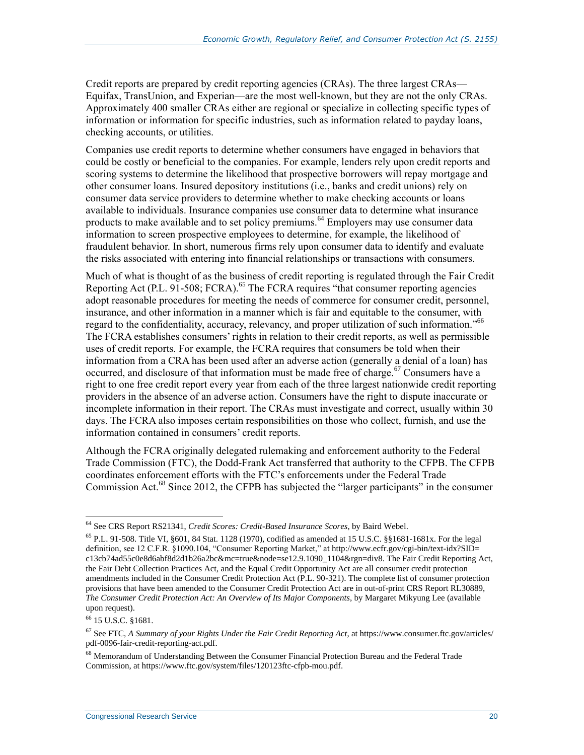Credit reports are prepared by credit reporting agencies (CRAs). The three largest CRAs— Equifax, TransUnion, and Experian—are the most well-known, but they are not the only CRAs. Approximately 400 smaller CRAs either are regional or specialize in collecting specific types of information or information for specific industries, such as information related to payday loans, checking accounts, or utilities.

Companies use credit reports to determine whether consumers have engaged in behaviors that could be costly or beneficial to the companies. For example, lenders rely upon credit reports and scoring systems to determine the likelihood that prospective borrowers will repay mortgage and other consumer loans. Insured depository institutions (i.e., banks and credit unions) rely on consumer data service providers to determine whether to make checking accounts or loans available to individuals. Insurance companies use consumer data to determine what insurance products to make available and to set policy premiums.<sup>64</sup> Employers may use consumer data information to screen prospective employees to determine, for example, the likelihood of fraudulent behavior. In short, numerous firms rely upon consumer data to identify and evaluate the risks associated with entering into financial relationships or transactions with consumers.

Much of what is thought of as the business of credit reporting is regulated through the Fair Credit Reporting Act (P.L. 91-508; FCRA).<sup>65</sup> The FCRA requires "that consumer reporting agencies adopt reasonable procedures for meeting the needs of commerce for consumer credit, personnel, insurance, and other information in a manner which is fair and equitable to the consumer, with regard to the confidentiality, accuracy, relevancy, and proper utilization of such information."<sup>66</sup> The FCRA establishes consumers' rights in relation to their credit reports, as well as permissible uses of credit reports. For example, the FCRA requires that consumers be told when their information from a CRA has been used after an adverse action (generally a denial of a loan) has occurred, and disclosure of that information must be made free of charge.<sup>67</sup> Consumers have a right to one free credit report every year from each of the three largest nationwide credit reporting providers in the absence of an adverse action. Consumers have the right to dispute inaccurate or incomplete information in their report. The CRAs must investigate and correct, usually within 30 days. The FCRA also imposes certain responsibilities on those who collect, furnish, and use the information contained in consumers' credit reports.

Although the FCRA originally delegated rulemaking and enforcement authority to the Federal Trade Commission (FTC), the Dodd-Frank Act transferred that authority to the CFPB. The CFPB coordinates enforcement efforts with the FTC's enforcements under the Federal Trade Commission Act.<sup>68</sup> Since 2012, the CFPB has subjected the "larger participants" in the consumer

<sup>64</sup> See CRS Report RS21341, *Credit Scores: Credit-Based Insurance Scores*, by Baird Webel.

<sup>65</sup> P.L. 91-508. Title VI, §601, 84 Stat. 1128 (1970), codified as amended at 15 U.S.C. §§1681-1681x. For the legal definition, see 12 C.F.R. §1090.104, "Consumer Reporting Market," at http://www.ecfr.gov/cgi-bin/text-idx?SID= c13cb74ad55c0e8d6abf8d2d1b26a2bc&mc=true&node=se12.9.1090\_1104&rgn=div8. The Fair Credit Reporting Act, the Fair Debt Collection Practices Act, and the Equal Credit Opportunity Act are all consumer credit protection amendments included in the Consumer Credit Protection Act (P.L. 90-321). The complete list of consumer protection provisions that have been amended to the Consumer Credit Protection Act are in out-of-print CRS Report RL30889, *The Consumer Credit Protection Act: An Overview of Its Major Components*, by Margaret Mikyung Lee (available upon request).

<sup>66</sup> 15 U.S.C. §1681.

<sup>67</sup> See FTC, *A Summary of your Rights Under the Fair Credit Reporting Act*, at https://www.consumer.ftc.gov/articles/ pdf-0096-fair-credit-reporting-act.pdf.

<sup>&</sup>lt;sup>68</sup> Memorandum of Understanding Between the Consumer Financial Protection Bureau and the Federal Trade Commission, at https://www.ftc.gov/system/files/120123ftc-cfpb-mou.pdf.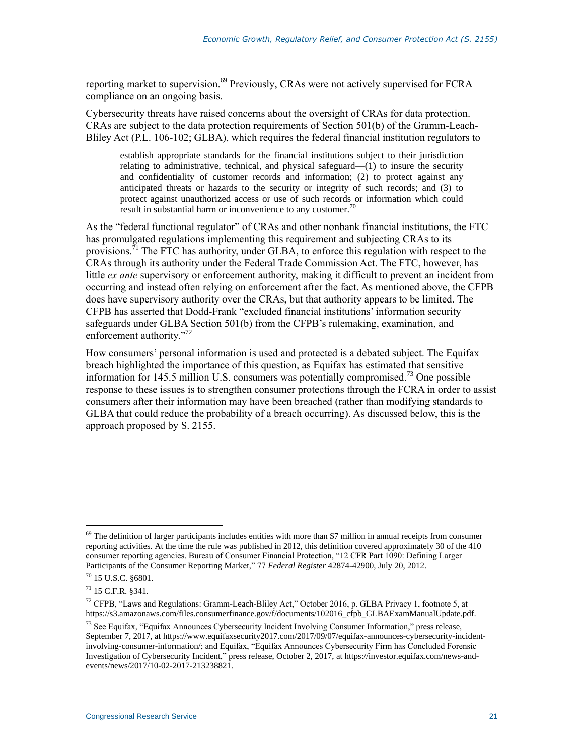reporting market to supervision.<sup>69</sup> Previously, CRAs were not actively supervised for FCRA compliance on an ongoing basis.

Cybersecurity threats have raised concerns about the oversight of CRAs for data protection. CRAs are subject to the data protection requirements of Section 501(b) of the Gramm-Leach-Bliley Act [\(P.L. 106-102;](http://www.congress.gov/cgi-lis/bdquery/R?d106:FLD002:@1(106+102)) GLBA), which requires the federal financial institution regulators to

establish appropriate standards for the financial institutions subject to their jurisdiction relating to administrative, technical, and physical safeguard—(1) to insure the security and confidentiality of customer records and information; (2) to protect against any anticipated threats or hazards to the security or integrity of such records; and (3) to protect against unauthorized access or use of such records or information which could result in substantial harm or inconvenience to any customer.<sup>70</sup>

As the "federal functional regulator" of CRAs and other nonbank financial institutions, the FTC has promulgated regulations implementing this requirement and subjecting CRAs to its provisions.<sup>71</sup> The FTC has authority, under GLBA, to enforce this regulation with respect to the CRAs through its authority under the Federal Trade Commission Act. The FTC, however, has little *ex ante* supervisory or enforcement authority, making it difficult to prevent an incident from occurring and instead often relying on enforcement after the fact. As mentioned above, the CFPB does have supervisory authority over the CRAs, but that authority appears to be limited. The CFPB has asserted that Dodd-Frank "excluded financial institutions' information security safeguards under GLBA Section 501(b) from the CFPB's rulemaking, examination, and enforcement authority."<sup>72</sup>

How consumers' personal information is used and protected is a debated subject. The Equifax breach highlighted the importance of this question, as Equifax has estimated that sensitive information for 145.5 million U.S. consumers was potentially compromised. <sup>73</sup> One possible response to these issues is to strengthen consumer protections through the FCRA in order to assist consumers after their information may have been breached (rather than modifying standards to GLBA that could reduce the probability of a breach occurring). As discussed below, this is the approach proposed by S. 2155.

 $69$  The definition of larger participants includes entities with more than \$7 million in annual receipts from consumer reporting activities. At the time the rule was published in 2012, this definition covered approximately 30 of the 410 consumer reporting agencies. Bureau of Consumer Financial Protection, "12 CFR Part 1090: Defining Larger Participants of the Consumer Reporting Market," 77 *Federal Register* 42874-42900, July 20, 2012.

<sup>70</sup> 15 U.S.C. §6801.

<sup>71</sup> 15 C.F.R. §341.

<sup>72</sup> CFPB, "Laws and Regulations: Gramm-Leach-Bliley Act," October 2016, p. GLBA Privacy 1, footnote 5, at https://s3.amazonaws.com/files.consumerfinance.gov/f/documents/102016\_cfpb\_GLBAExamManualUpdate.pdf.

 $^{73}$  See Equifax, "Equifax Announces Cybersecurity Incident Involving Consumer Information," press release, September 7, 2017, at https://www.equifaxsecurity2017.com/2017/09/07/equifax-announces-cybersecurity-incidentinvolving-consumer-information/; and Equifax, "Equifax Announces Cybersecurity Firm has Concluded Forensic Investigation of Cybersecurity Incident," press release, October 2, 2017, at https://investor.equifax.com/news-andevents/news/2017/10-02-2017-213238821.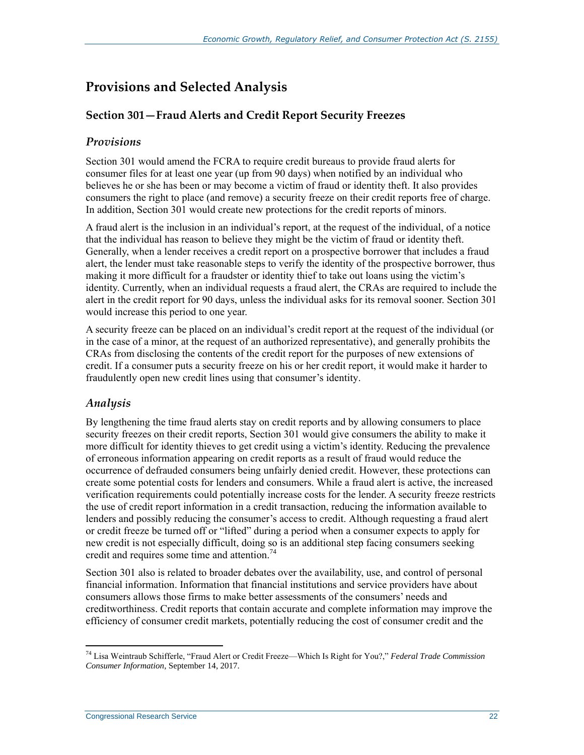### **Provisions and Selected Analysis**

#### **Section 301—Fraud Alerts and Credit Report Security Freezes**

#### *Provisions*

Section 301 would amend the FCRA to require credit bureaus to provide fraud alerts for consumer files for at least one year (up from 90 days) when notified by an individual who believes he or she has been or may become a victim of fraud or identity theft. It also provides consumers the right to place (and remove) a security freeze on their credit reports free of charge. In addition, Section 301 would create new protections for the credit reports of minors.

A fraud alert is the inclusion in an individual's report, at the request of the individual, of a notice that the individual has reason to believe they might be the victim of fraud or identity theft. Generally, when a lender receives a credit report on a prospective borrower that includes a fraud alert, the lender must take reasonable steps to verify the identity of the prospective borrower, thus making it more difficult for a fraudster or identity thief to take out loans using the victim's identity. Currently, when an individual requests a fraud alert, the CRAs are required to include the alert in the credit report for 90 days, unless the individual asks for its removal sooner. Section 301 would increase this period to one year.

A security freeze can be placed on an individual's credit report at the request of the individual (or in the case of a minor, at the request of an authorized representative), and generally prohibits the CRAs from disclosing the contents of the credit report for the purposes of new extensions of credit. If a consumer puts a security freeze on his or her credit report, it would make it harder to fraudulently open new credit lines using that consumer's identity.

#### *Analysis*

By lengthening the time fraud alerts stay on credit reports and by allowing consumers to place security freezes on their credit reports, Section 301 would give consumers the ability to make it more difficult for identity thieves to get credit using a victim's identity. Reducing the prevalence of erroneous information appearing on credit reports as a result of fraud would reduce the occurrence of defrauded consumers being unfairly denied credit. However, these protections can create some potential costs for lenders and consumers. While a fraud alert is active, the increased verification requirements could potentially increase costs for the lender. A security freeze restricts the use of credit report information in a credit transaction, reducing the information available to lenders and possibly reducing the consumer's access to credit. Although requesting a fraud alert or credit freeze be turned off or "lifted" during a period when a consumer expects to apply for new credit is not especially difficult, doing so is an additional step facing consumers seeking credit and requires some time and attention.<sup>74</sup>

Section 301 also is related to broader debates over the availability, use, and control of personal financial information. Information that financial institutions and service providers have about consumers allows those firms to make better assessments of the consumers' needs and creditworthiness. Credit reports that contain accurate and complete information may improve the efficiency of consumer credit markets, potentially reducing the cost of consumer credit and the

<sup>74</sup> Lisa Weintraub Schifferle, "Fraud Alert or Credit Freeze—Which Is Right for You?," *Federal Trade Commission Consumer Information*, September 14, 2017.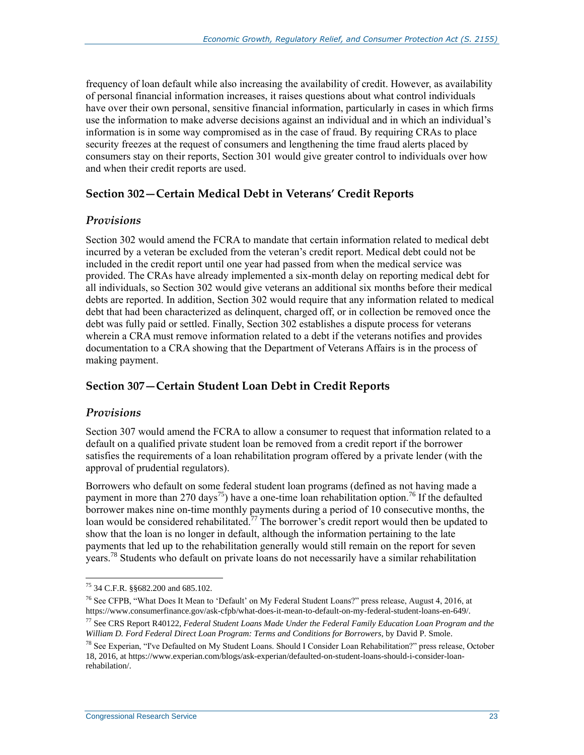frequency of loan default while also increasing the availability of credit. However, as availability of personal financial information increases, it raises questions about what control individuals have over their own personal, sensitive financial information, particularly in cases in which firms use the information to make adverse decisions against an individual and in which an individual's information is in some way compromised as in the case of fraud. By requiring CRAs to place security freezes at the request of consumers and lengthening the time fraud alerts placed by consumers stay on their reports, Section 301 would give greater control to individuals over how and when their credit reports are used.

#### **Section 302—Certain Medical Debt in Veterans' Credit Reports**

#### *Provisions*

Section 302 would amend the FCRA to mandate that certain information related to medical debt incurred by a veteran be excluded from the veteran's credit report. Medical debt could not be included in the credit report until one year had passed from when the medical service was provided. The CRAs have already implemented a six-month delay on reporting medical debt for all individuals, so Section 302 would give veterans an additional six months before their medical debts are reported. In addition, Section 302 would require that any information related to medical debt that had been characterized as delinquent, charged off, or in collection be removed once the debt was fully paid or settled. Finally, Section 302 establishes a dispute process for veterans wherein a CRA must remove information related to a debt if the veterans notifies and provides documentation to a CRA showing that the Department of Veterans Affairs is in the process of making payment.

#### **Section 307—Certain Student Loan Debt in Credit Reports**

#### *Provisions*

Section 307 would amend the FCRA to allow a consumer to request that information related to a default on a qualified private student loan be removed from a credit report if the borrower satisfies the requirements of a loan rehabilitation program offered by a private lender (with the approval of prudential regulators).

Borrowers who default on some federal student loan programs (defined as not having made a payment in more than 270 days<sup>75</sup>) have a one-time loan rehabilitation option.<sup>76</sup> If the defaulted borrower makes nine on-time monthly payments during a period of 10 consecutive months, the loan would be considered rehabilitated.<sup>77</sup> The borrower's credit report would then be updated to show that the loan is no longer in default, although the information pertaining to the late payments that led up to the rehabilitation generally would still remain on the report for seven years.<sup>78</sup> Students who default on private loans do not necessarily have a similar rehabilitation

 $\overline{a}$ <sup>75</sup> 34 C.F.R. §§682.200 and 685.102.

<sup>&</sup>lt;sup>76</sup> See CFPB, "What Does It Mean to 'Default' on My Federal Student Loans?" press release, August 4, 2016, at https://www.consumerfinance.gov/ask-cfpb/what-does-it-mean-to-default-on-my-federal-student-loans-en-649/.

<sup>77</sup> See CRS Report R40122, *Federal Student Loans Made Under the Federal Family Education Loan Program and the William D. Ford Federal Direct Loan Program: Terms and Conditions for Borrowers*, by David P. Smole.

<sup>78</sup> See Experian, "I've Defaulted on My Student Loans. Should I Consider Loan Rehabilitation?" press release, October 18, 2016, at https://www.experian.com/blogs/ask-experian/defaulted-on-student-loans-should-i-consider-loanrehabilation/.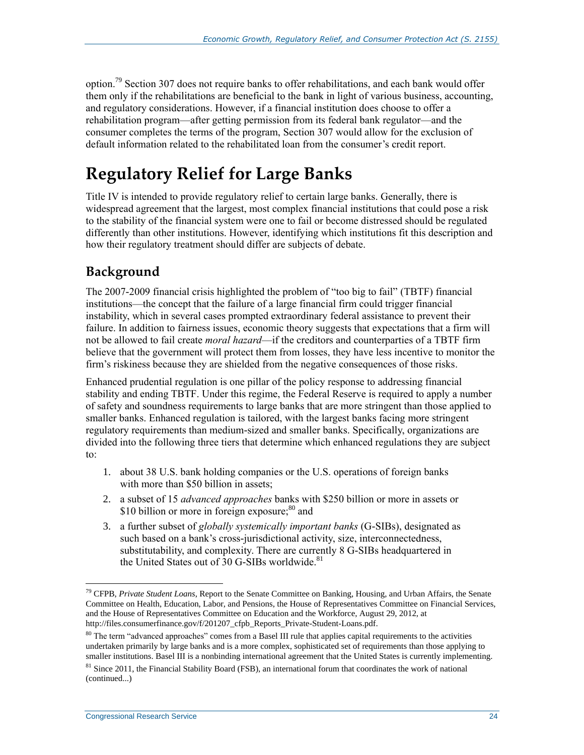option.<sup>79</sup> Section 307 does not require banks to offer rehabilitations, and each bank would offer them only if the rehabilitations are beneficial to the bank in light of various business, accounting, and regulatory considerations. However, if a financial institution does choose to offer a rehabilitation program—after getting permission from its federal bank regulator—and the consumer completes the terms of the program, Section 307 would allow for the exclusion of default information related to the rehabilitated loan from the consumer's credit report.

## **Regulatory Relief for Large Banks**

Title IV is intended to provide regulatory relief to certain large banks. Generally, there is widespread agreement that the largest, most complex financial institutions that could pose a risk to the stability of the financial system were one to fail or become distressed should be regulated differently than other institutions. However, identifying which institutions fit this description and how their regulatory treatment should differ are subjects of debate.

### **Background**

The 2007-2009 financial crisis highlighted the problem of "too big to fail" (TBTF) financial institutions—the concept that the failure of a large financial firm could trigger financial instability, which in several cases prompted extraordinary federal assistance to prevent their failure. In addition to fairness issues, economic theory suggests that expectations that a firm will not be allowed to fail create *moral hazard*—if the creditors and counterparties of a TBTF firm believe that the government will protect them from losses, they have less incentive to monitor the firm's riskiness because they are shielded from the negative consequences of those risks.

Enhanced prudential regulation is one pillar of the policy response to addressing financial stability and ending TBTF. Under this regime, the Federal Reserve is required to apply a number of safety and soundness requirements to large banks that are more stringent than those applied to smaller banks. Enhanced regulation is tailored, with the largest banks facing more stringent regulatory requirements than medium-sized and smaller banks. Specifically, organizations are divided into the following three tiers that determine which enhanced regulations they are subject to:

- 1. about 38 U.S. bank holding companies or the U.S. operations of foreign banks with more than \$50 billion in assets;
- 2. a subset of 15 *advanced approaches* banks with \$250 billion or more in assets or \$10 billion or more in foreign exposure; $^{80}$  and
- 3. a further subset of *globally systemically important banks* (G-SIBs), designated as such based on a bank's cross-jurisdictional activity, size, interconnectedness, substitutability, and complexity. There are currently 8 G-SIBs headquartered in the United States out of 30 G-SIBs worldwide.<sup>81</sup>

<sup>79</sup> CFPB, *Private Student Loans*, Report to the Senate Committee on Banking, Housing, and Urban Affairs, the Senate Committee on Health, Education, Labor, and Pensions, the House of Representatives Committee on Financial Services, and the House of Representatives Committee on Education and the Workforce, August 29, 2012, at http://files.consumerfinance.gov/f/201207\_cfpb\_Reports\_Private-Student-Loans.pdf.

 $80$  The term "advanced approaches" comes from a Basel III rule that applies capital requirements to the activities undertaken primarily by large banks and is a more complex, sophisticated set of requirements than those applying to smaller institutions. Basel III is a nonbinding international agreement that the United States is currently implementing.

 $81$  Since 2011, the Financial Stability Board (FSB), an international forum that coordinates the work of national (continued...)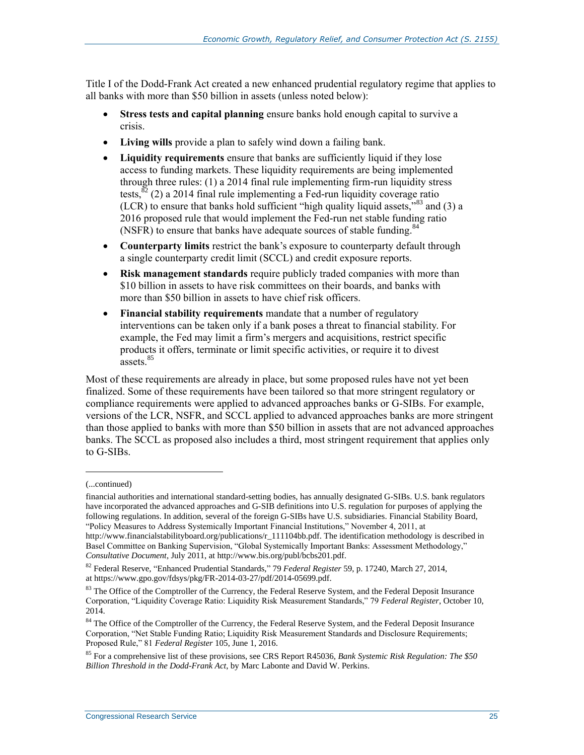Title I of the Dodd-Frank Act created a new enhanced prudential regulatory regime that applies to all banks with more than \$50 billion in assets (unless noted below):

- **Stress tests and capital planning** ensure banks hold enough capital to survive a crisis.
- **Living wills** provide a plan to safely wind down a failing bank.
- **Liquidity requirements** ensure that banks are sufficiently liquid if they lose access to funding markets. These liquidity requirements are being implemented through three rules: (1) a 2014 final rule implementing firm-run liquidity stress tests,  $8^{82}$  (2) a 2014 final rule implementing a Fed-run liquidity coverage ratio (LCR) to ensure that banks hold sufficient "high quality liquid assets,"<sup>83</sup> and (3) a 2016 proposed rule that would implement the Fed-run net stable funding ratio (NSFR) to ensure that banks have adequate sources of stable funding.<sup>84</sup>
- **Counterparty limits** restrict the bank's exposure to counterparty default through a single counterparty credit limit (SCCL) and credit exposure reports.
- **Risk management standards** require publicly traded companies with more than \$10 billion in assets to have risk committees on their boards, and banks with more than \$50 billion in assets to have chief risk officers.
- **Financial stability requirements** mandate that a number of regulatory interventions can be taken only if a bank poses a threat to financial stability. For example, the Fed may limit a firm's mergers and acquisitions, restrict specific products it offers, terminate or limit specific activities, or require it to divest assets.<sup>85</sup>

Most of these requirements are already in place, but some proposed rules have not yet been finalized. Some of these requirements have been tailored so that more stringent regulatory or compliance requirements were applied to advanced approaches banks or G-SIBs. For example, versions of the LCR, NSFR, and SCCL applied to advanced approaches banks are more stringent than those applied to banks with more than \$50 billion in assets that are not advanced approaches banks. The SCCL as proposed also includes a third, most stringent requirement that applies only to G-SIBs.

<sup>(...</sup>continued)

financial authorities and international standard-setting bodies, has annually designated G-SIBs. U.S. bank regulators have incorporated the advanced approaches and G-SIB definitions into U.S. regulation for purposes of applying the following regulations. In addition, several of the foreign G-SIBs have U.S. subsidiaries. Financial Stability Board, "Policy Measures to Address Systemically Important Financial Institutions," November 4, 2011, at

http://www.financialstabilityboard.org/publications/r\_111104bb.pdf. The identification methodology is described in Basel Committee on Banking Supervision, "Global Systemically Important Banks: Assessment Methodology," *Consultative Document*, July 2011, at http://www.bis.org/publ/bcbs201.pdf.

<sup>82</sup> Federal Reserve, "Enhanced Prudential Standards," 79 *Federal Register* 59, p. 17240, March 27, 2014, at https://www.gpo.gov/fdsys/pkg/FR-2014-03-27/pdf/2014-05699.pdf.

<sup>&</sup>lt;sup>83</sup> The Office of the Comptroller of the Currency, the Federal Reserve System, and the Federal Deposit Insurance Corporation, "Liquidity Coverage Ratio: Liquidity Risk Measurement Standards," 79 *Federal Register*, October 10, 2014.

<sup>&</sup>lt;sup>84</sup> The Office of the Comptroller of the Currency, the Federal Reserve System, and the Federal Deposit Insurance Corporation, "Net Stable Funding Ratio; Liquidity Risk Measurement Standards and Disclosure Requirements; Proposed Rule," 81 *Federal Register* 105, June 1, 2016.

<sup>85</sup> For a comprehensive list of these provisions, see CRS Report R45036, *Bank Systemic Risk Regulation: The \$50 Billion Threshold in the Dodd-Frank Act*, by Marc Labonte and David W. Perkins.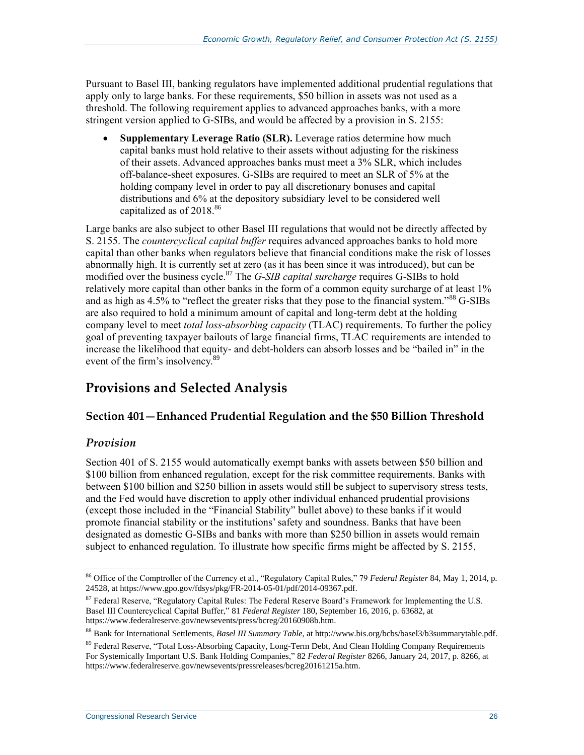Pursuant to Basel III, banking regulators have implemented additional prudential regulations that apply only to large banks. For these requirements, \$50 billion in assets was not used as a threshold. The following requirement applies to advanced approaches banks, with a more stringent version applied to G-SIBs, and would be affected by a provision in [S. 2155:](http://www.congress.gov/cgi-lis/bdquery/z?d115:S.2155:)

 **Supplementary Leverage Ratio (SLR).** Leverage ratios determine how much capital banks must hold relative to their assets without adjusting for the riskiness of their assets. Advanced approaches banks must meet a 3% SLR, which includes off-balance-sheet exposures. G-SIBs are required to meet an SLR of 5% at the holding company level in order to pay all discretionary bonuses and capital distributions and 6% at the depository subsidiary level to be considered well capitalized as of 2018. 86

Large banks are also subject to other Basel III regulations that would not be directly affected by S. 2155. The *countercyclical capital buffer* requires advanced approaches banks to hold more capital than other banks when regulators believe that financial conditions make the risk of losses abnormally high. It is currently set at zero (as it has been since it was introduced), but can be modified over the business cycle.<sup>87</sup> The *G-SIB capital surcharge* requires G-SIBs to hold relatively more capital than other banks in the form of a common equity surcharge of at least 1% and as high as  $4.5\%$  to "reflect the greater risks that they pose to the financial system."<sup>88</sup> G-SIBs are also required to hold a minimum amount of capital and long-term debt at the holding company level to meet *total loss-absorbing capacity* (TLAC) requirements. To further the policy goal of preventing taxpayer bailouts of large financial firms, TLAC requirements are intended to increase the likelihood that equity- and debt-holders can absorb losses and be "bailed in" in the event of the firm's insolvency.<sup>89</sup>

### **Provisions and Selected Analysis**

#### **Section 401—Enhanced Prudential Regulation and the \$50 Billion Threshold**

#### *Provision*

 $\overline{a}$ 

Section 401 of [S. 2155](http://www.congress.gov/cgi-lis/bdquery/z?d115:S.2155:) would automatically exempt banks with assets between \$50 billion and \$100 billion from enhanced regulation, except for the risk committee requirements. Banks with between \$100 billion and \$250 billion in assets would still be subject to supervisory stress tests, and the Fed would have discretion to apply other individual enhanced prudential provisions (except those included in the "Financial Stability" bullet above) to these banks if it would promote financial stability or the institutions' safety and soundness. Banks that have been designated as domestic G-SIBs and banks with more than \$250 billion in assets would remain subject to enhanced regulation. To illustrate how specific firms might be affected by S. 2155,

<sup>86</sup> Office of the Comptroller of the Currency et al., "Regulatory Capital Rules," 79 *Federal Register* 84, May 1, 2014, p. 24528, at https://www.gpo.gov/fdsys/pkg/FR-2014-05-01/pdf/2014-09367.pdf.

<sup>&</sup>lt;sup>87</sup> Federal Reserve, "Regulatory Capital Rules: The Federal Reserve Board's Framework for Implementing the U.S. Basel III Countercyclical Capital Buffer," 81 *Federal Register* 180, September 16, 2016, p. 63682, at https://www.federalreserve.gov/newsevents/press/bcreg/20160908b.htm.

<sup>88</sup> Bank for International Settlements, *Basel III Summary Table*, at http://www.bis.org/bcbs/basel3/b3summarytable.pdf.

<sup>89</sup> Federal Reserve, "Total Loss-Absorbing Capacity, Long-Term Debt, And Clean Holding Company Requirements For Systemically Important U.S. Bank Holding Companies," 82 *Federal Register* 8266, January 24, 2017, p. 8266, at https://www.federalreserve.gov/newsevents/pressreleases/bcreg20161215a.htm.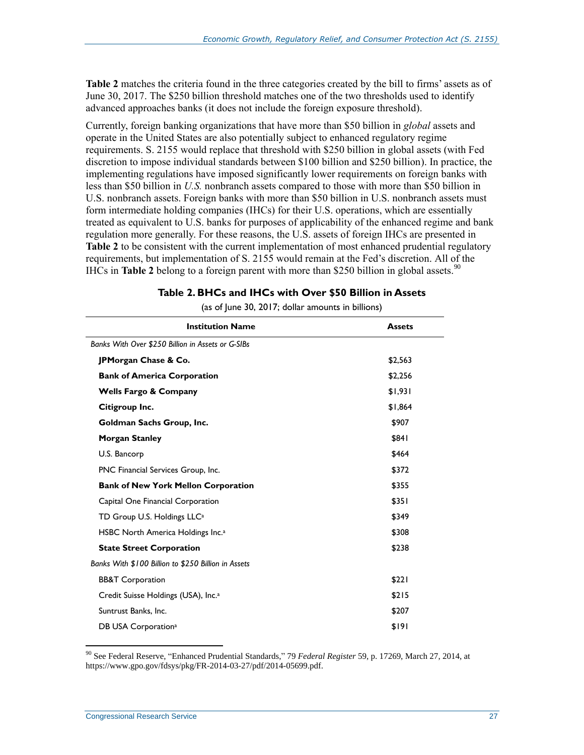**[Table 2](#page-31-0)** matches the criteria found in the three categories created by the bill to firms' assets as of June 30, 2017. The \$250 billion threshold matches one of the two thresholds used to identify advanced approaches banks (it does not include the foreign exposure threshold).

Currently, foreign banking organizations that have more than \$50 billion in *global* assets and operate in the United States are also potentially subject to enhanced regulatory regime requirements. [S. 2155](http://www.congress.gov/cgi-lis/bdquery/z?d115:S.2155:) would replace that threshold with \$250 billion in global assets (with Fed discretion to impose individual standards between \$100 billion and \$250 billion). In practice, the implementing regulations have imposed significantly lower requirements on foreign banks with less than \$50 billion in *U.S.* nonbranch assets compared to those with more than \$50 billion in U.S. nonbranch assets. Foreign banks with more than \$50 billion in U.S. nonbranch assets must form intermediate holding companies (IHCs) for their U.S. operations, which are essentially treated as equivalent to U.S. banks for purposes of applicability of the enhanced regime and bank regulation more generally. For these reasons, the U.S. assets of foreign IHCs are presented in **[Table 2](#page-31-0)** to be consistent with the current implementation of most enhanced prudential regulatory requirements, but implementation of S. 2155 would remain at the Fed's discretion. All of the IHCs in **Table 2** belong to a foreign parent with more than \$250 billion in global assets.<sup>90</sup>

<span id="page-31-0"></span>

| <b>Institution Name</b>                             | <b>Assets</b> |
|-----------------------------------------------------|---------------|
|                                                     |               |
| Banks With Over \$250 Billion in Assets or G-SIBs   |               |
| JPMorgan Chase & Co.                                | \$2,563       |
| <b>Bank of America Corporation</b>                  | \$2,256       |
| <b>Wells Fargo &amp; Company</b>                    | \$1,931       |
| Citigroup Inc.                                      | \$1,864       |
| Goldman Sachs Group, Inc.                           | \$907         |
| <b>Morgan Stanley</b>                               | \$841         |
| U.S. Bancorp                                        | \$464         |
| PNC Financial Services Group, Inc.                  | \$372         |
| <b>Bank of New York Mellon Corporation</b>          | \$355         |
| Capital One Financial Corporation                   | \$351         |
| TD Group U.S. Holdings LLC <sup>a</sup>             | \$349         |
| HSBC North America Holdings Inc. <sup>a</sup>       | \$308         |
| <b>State Street Corporation</b>                     | \$238         |
| Banks With \$100 Billion to \$250 Billion in Assets |               |
| <b>BB&amp;T</b> Corporation                         | \$221         |
| Credit Suisse Holdings (USA), Inc. <sup>a</sup>     | \$215         |
| Suntrust Banks, Inc.                                | \$207         |
| DB USA Corporation <sup>a</sup>                     | \$191         |

#### **Table 2. BHCs and IHCs with Over \$50 Billion in Assets** (as of June 30, 2017; dollar amounts in billions)

<sup>90</sup> See Federal Reserve, "Enhanced Prudential Standards," 79 *Federal Register* 59, p. 17269, March 27, 2014, at https://www.gpo.gov/fdsys/pkg/FR-2014-03-27/pdf/2014-05699.pdf.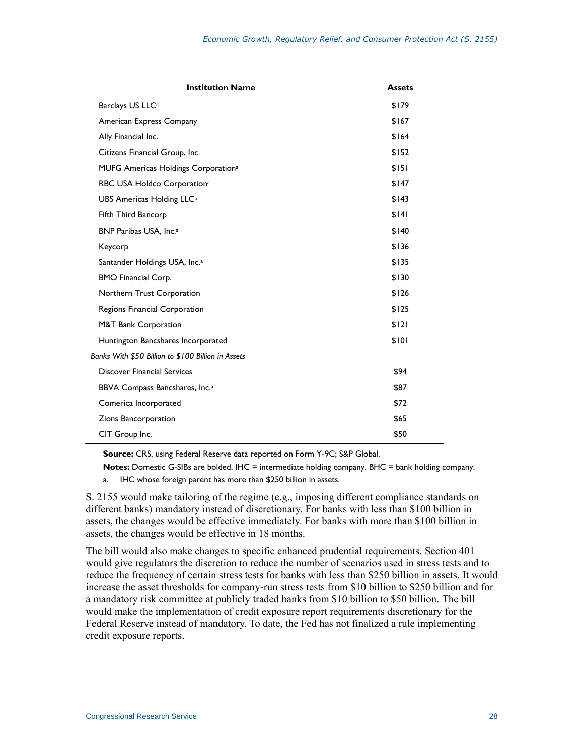| <b>Institution Name</b>                            | <b>Assets</b> |
|----------------------------------------------------|---------------|
| Barclays US LLC <sup>a</sup>                       | \$179         |
| American Express Company                           | \$167         |
| Ally Financial Inc.                                | \$164         |
| Citizens Financial Group, Inc.                     | \$152         |
| <b>MUFG Americas Holdings Corporationa</b>         | \$151         |
| RBC USA Holdco Corporation <sup>a</sup>            | \$147         |
| UBS Americas Holding LLC <sup>a</sup>              | \$143         |
| Fifth Third Bancorp                                | \$141         |
| BNP Paribas USA, Inc. <sup>a</sup>                 | \$140         |
| Keycorp                                            | \$136         |
| Santander Holdings USA, Inc. <sup>a</sup>          | \$135         |
| <b>BMO Financial Corp.</b>                         | \$130         |
| Northern Trust Corporation                         | \$126         |
| Regions Financial Corporation                      | \$125         |
| M&T Bank Corporation                               | \$121         |
| Huntington Bancshares Incorporated                 | \$101         |
| Banks With \$50 Billion to \$100 Billion in Assets |               |
| <b>Discover Financial Services</b>                 | \$94          |
| BBVA Compass Bancshares, Inc. <sup>a</sup>         | \$87          |
| Comerica Incorporated                              | \$72          |
| Zions Bancorporation                               | \$65          |
| CIT Group Inc.                                     | \$50          |

**Source:** CRS, using Federal Reserve data reported on Form Y-9C; S&P Global.

**Notes:** Domestic G-SIBs are bolded. IHC = intermediate holding company. BHC = bank holding company.

a. IHC whose foreign parent has more than \$250 billion in assets.

<span id="page-32-0"></span>[S. 2155](http://www.congress.gov/cgi-lis/bdquery/z?d115:S.2155:) would make tailoring of the regime (e.g., imposing different compliance standards on different banks) mandatory instead of discretionary. For banks with less than \$100 billion in assets, the changes would be effective immediately. For banks with more than \$100 billion in assets, the changes would be effective in 18 months.

The bill would also make changes to specific enhanced prudential requirements. Section 401 would give regulators the discretion to reduce the number of scenarios used in stress tests and to reduce the frequency of certain stress tests for banks with less than \$250 billion in assets. It would increase the asset thresholds for company-run stress tests from \$10 billion to \$250 billion and for a mandatory risk committee at publicly traded banks from \$10 billion to \$50 billion. The bill would make the implementation of credit exposure report requirements discretionary for the Federal Reserve instead of mandatory. To date, the Fed has not finalized a rule implementing credit exposure reports.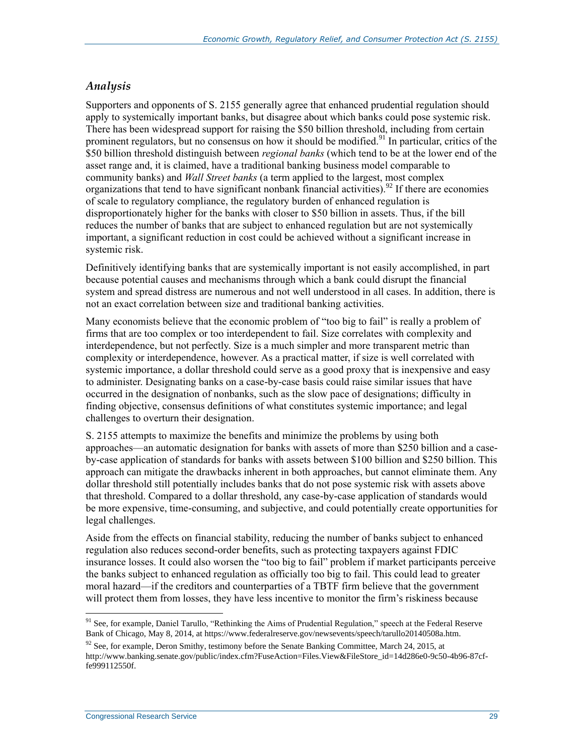#### *Analysis*

Supporters and opponents of S. 2155 generally agree that enhanced prudential regulation should apply to systemically important banks, but disagree about which banks could pose systemic risk. There has been widespread support for raising the \$50 billion threshold, including from certain prominent regulators, but no consensus on how it should be modified.<sup>91</sup> In particular, critics of the \$50 billion threshold distinguish between *regional banks* (which tend to be at the lower end of the asset range and, it is claimed, have a traditional banking business model comparable to community banks) and *Wall Street banks* (a term applied to the largest, most complex organizations that tend to have significant nonbank financial activities).<sup>92</sup> If there are economies of scale to regulatory compliance, the regulatory burden of enhanced regulation is disproportionately higher for the banks with closer to \$50 billion in assets. Thus, if the bill reduces the number of banks that are subject to enhanced regulation but are not systemically important, a significant reduction in cost could be achieved without a significant increase in systemic risk.

Definitively identifying banks that are systemically important is not easily accomplished, in part because potential causes and mechanisms through which a bank could disrupt the financial system and spread distress are numerous and not well understood in all cases. In addition, there is not an exact correlation between size and traditional banking activities.

Many economists believe that the economic problem of "too big to fail" is really a problem of firms that are too complex or too interdependent to fail. Size correlates with complexity and interdependence, but not perfectly. Size is a much simpler and more transparent metric than complexity or interdependence, however. As a practical matter, if size is well correlated with systemic importance, a dollar threshold could serve as a good proxy that is inexpensive and easy to administer. Designating banks on a case-by-case basis could raise similar issues that have occurred in the designation of nonbanks, such as the slow pace of designations; difficulty in finding objective, consensus definitions of what constitutes systemic importance; and legal challenges to overturn their designation.

[S. 2155](http://www.congress.gov/cgi-lis/bdquery/z?d115:S.2155:) attempts to maximize the benefits and minimize the problems by using both approaches—an automatic designation for banks with assets of more than \$250 billion and a caseby-case application of standards for banks with assets between \$100 billion and \$250 billion. This approach can mitigate the drawbacks inherent in both approaches, but cannot eliminate them. Any dollar threshold still potentially includes banks that do not pose systemic risk with assets above that threshold. Compared to a dollar threshold, any case-by-case application of standards would be more expensive, time-consuming, and subjective, and could potentially create opportunities for legal challenges.

Aside from the effects on financial stability, reducing the number of banks subject to enhanced regulation also reduces second-order benefits, such as protecting taxpayers against FDIC insurance losses. It could also worsen the "too big to fail" problem if market participants perceive the banks subject to enhanced regulation as officially too big to fail. This could lead to greater moral hazard—if the creditors and counterparties of a TBTF firm believe that the government will protect them from losses, they have less incentive to monitor the firm's riskiness because

 $\overline{a}$  $91$  See, for example, Daniel Tarullo, "Rethinking the Aims of Prudential Regulation," speech at the Federal Reserve Bank of Chicago, May 8, 2014, at https://www.federalreserve.gov/newsevents/speech/tarullo20140508a.htm.

<sup>&</sup>lt;sup>92</sup> See, for example, Deron Smithy, testimony before the Senate Banking Committee, March 24, 2015, at http://www.banking.senate.gov/public/index.cfm?FuseAction=Files.View&FileStore\_id=14d286e0-9c50-4b96-87cffe999112550f.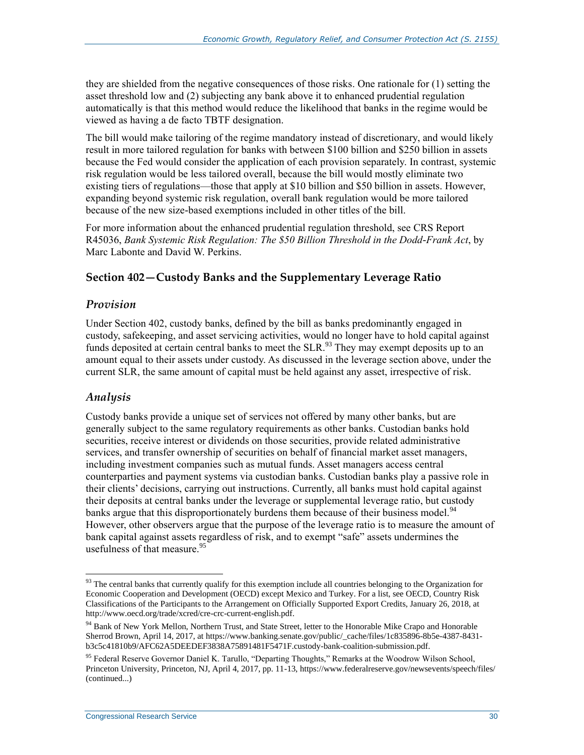they are shielded from the negative consequences of those risks. One rationale for (1) setting the asset threshold low and (2) subjecting any bank above it to enhanced prudential regulation automatically is that this method would reduce the likelihood that banks in the regime would be viewed as having a de facto TBTF designation.

The bill would make tailoring of the regime mandatory instead of discretionary, and would likely result in more tailored regulation for banks with between \$100 billion and \$250 billion in assets because the Fed would consider the application of each provision separately. In contrast, systemic risk regulation would be less tailored overall, because the bill would mostly eliminate two existing tiers of regulations—those that apply at \$10 billion and \$50 billion in assets. However, expanding beyond systemic risk regulation, overall bank regulation would be more tailored because of the new size-based exemptions included in other titles of the bill.

For more information about the enhanced prudential regulation threshold, see CRS Report R45036, *Bank Systemic Risk Regulation: The \$50 Billion Threshold in the Dodd-Frank Act*, by Marc Labonte and David W. Perkins.

#### **Section 402—Custody Banks and the Supplementary Leverage Ratio**

#### *Provision*

Under Section 402, custody banks, defined by the bill as banks predominantly engaged in custody, safekeeping, and asset servicing activities, would no longer have to hold capital against funds deposited at certain central banks to meet the SLR.<sup>93</sup> They may exempt deposits up to an amount equal to their assets under custody. As discussed in the leverage section above, under the current SLR, the same amount of capital must be held against any asset, irrespective of risk.

#### *Analysis*

 $\overline{a}$ 

Custody banks provide a unique set of services not offered by many other banks, but are generally subject to the same regulatory requirements as other banks. Custodian banks hold securities, receive interest or dividends on those securities, provide related administrative services, and transfer ownership of securities on behalf of financial market asset managers, including investment companies such as mutual funds. Asset managers access central counterparties and payment systems via custodian banks. Custodian banks play a passive role in their clients' decisions, carrying out instructions. Currently, all banks must hold capital against their deposits at central banks under the leverage or supplemental leverage ratio, but custody banks argue that this disproportionately burdens them because of their business model.<sup>94</sup> However, other observers argue that the purpose of the leverage ratio is to measure the amount of bank capital against assets regardless of risk, and to exempt "safe" assets undermines the usefulness of that measure.<sup>95</sup>

<sup>&</sup>lt;sup>93</sup> The central banks that currently qualify for this exemption include all countries belonging to the Organization for Economic Cooperation and Development (OECD) except Mexico and Turkey. For a list, see OECD, Country Risk Classifications of the Participants to the Arrangement on Officially Supported Export Credits, January 26, 2018, at http://www.oecd.org/trade/xcred/cre-crc-current-english.pdf.

<sup>&</sup>lt;sup>94</sup> Bank of New York Mellon, Northern Trust, and State Street, letter to the Honorable Mike Crapo and Honorable Sherrod Brown, April 14, 2017, at https://www.banking.senate.gov/public/\_cache/files/1c835896-8b5e-4387-8431 b3c5c41810b9/AFC62A5DEEDEF3838A75891481F5471F.custody-bank-coalition-submission.pdf.

<sup>&</sup>lt;sup>95</sup> Federal Reserve Governor Daniel K. Tarullo, "Departing Thoughts," Remarks at the Woodrow Wilson School, Princeton University, Princeton, NJ, April 4, 2017, pp. 11-13, https://www.federalreserve.gov/newsevents/speech/files/ (continued...)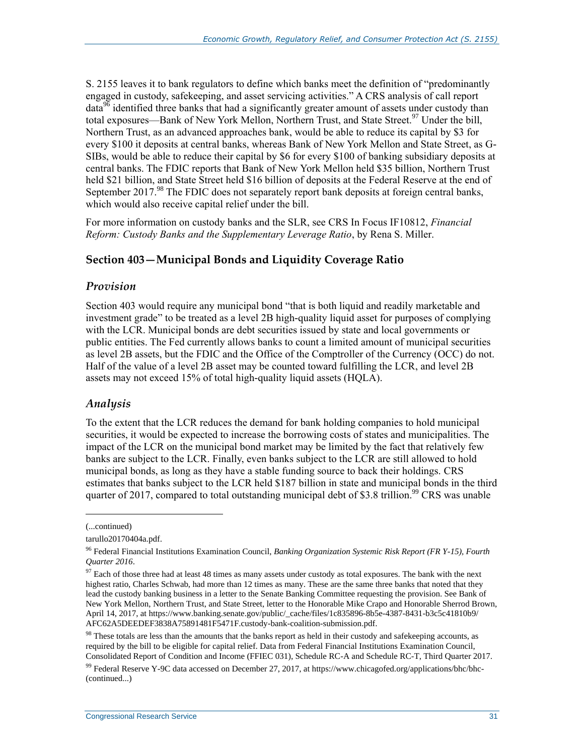[S. 2155](http://www.congress.gov/cgi-lis/bdquery/z?d115:S.2155:) leaves it to bank regulators to define which banks meet the definition of "predominantly engaged in custody, safekeeping, and asset servicing activities." A CRS analysis of call report  $data<sup>96</sup>$  identified three banks that had a significantly greater amount of assets under custody than total exposures—Bank of New York Mellon, Northern Trust, and State Street.<sup>97</sup> Under the bill, Northern Trust, as an advanced approaches bank, would be able to reduce its capital by \$3 for every \$100 it deposits at central banks, whereas Bank of New York Mellon and State Street, as G-SIBs, would be able to reduce their capital by \$6 for every \$100 of banking subsidiary deposits at central banks. The FDIC reports that Bank of New York Mellon held \$35 billion, Northern Trust held \$21 billion, and State Street held \$16 billion of deposits at the Federal Reserve at the end of September 2017.<sup>98</sup> The FDIC does not separately report bank deposits at foreign central banks, which would also receive capital relief under the bill.

For more information on custody banks and the SLR, see CRS In Focus IF10812, *Financial Reform: Custody Banks and the Supplementary Leverage Ratio*, by Rena S. Miller.

#### **Section 403—Municipal Bonds and Liquidity Coverage Ratio**

#### *Provision*

Section 403 would require any municipal bond "that is both liquid and readily marketable and investment grade" to be treated as a level 2B high-quality liquid asset for purposes of complying with the LCR. Municipal bonds are debt securities issued by state and local governments or public entities. The Fed currently allows banks to count a limited amount of municipal securities as level 2B assets, but the FDIC and the Office of the Comptroller of the Currency (OCC) do not. Half of the value of a level 2B asset may be counted toward fulfilling the LCR, and level 2B assets may not exceed 15% of total high-quality liquid assets (HQLA).

#### *Analysis*

To the extent that the LCR reduces the demand for bank holding companies to hold municipal securities, it would be expected to increase the borrowing costs of states and municipalities. The impact of the LCR on the municipal bond market may be limited by the fact that relatively few banks are subject to the LCR. Finally, even banks subject to the LCR are still allowed to hold municipal bonds, as long as they have a stable funding source to back their holdings. CRS estimates that banks subject to the LCR held \$187 billion in state and municipal bonds in the third quarter of 2017, compared to total outstanding municipal debt of \$3.8 trillion.<sup>99</sup> CRS was unable

l

<sup>(...</sup>continued)

tarullo20170404a.pdf.

<sup>96</sup> Federal Financial Institutions Examination Council, *Banking Organization Systemic Risk Report (FR Y-15), Fourth Quarter 2016*.

 $97$  Each of those three had at least 48 times as many assets under custody as total exposures. The bank with the next highest ratio, Charles Schwab, had more than 12 times as many. These are the same three banks that noted that they lead the custody banking business in a letter to the Senate Banking Committee requesting the provision. See Bank of New York Mellon, Northern Trust, and State Street, letter to the Honorable Mike Crapo and Honorable Sherrod Brown, April 14, 2017, at https://www.banking.senate.gov/public/\_cache/files/1c835896-8b5e-4387-8431-b3c5c41810b9/ AFC62A5DEEDEF3838A75891481F5471F.custody-bank-coalition-submission.pdf.

<sup>&</sup>lt;sup>98</sup> These totals are less than the amounts that the banks report as held in their custody and safekeeping accounts, as required by the bill to be eligible for capital relief. Data from Federal Financial Institutions Examination Council, Consolidated Report of Condition and Income (FFIEC 031), Schedule RC-A and Schedule RC-T, Third Quarter 2017.

 $99$  Federal Reserve Y-9C data accessed on December 27, 2017, at https://www.chicagofed.org/applications/bhc/bhc-(continued...)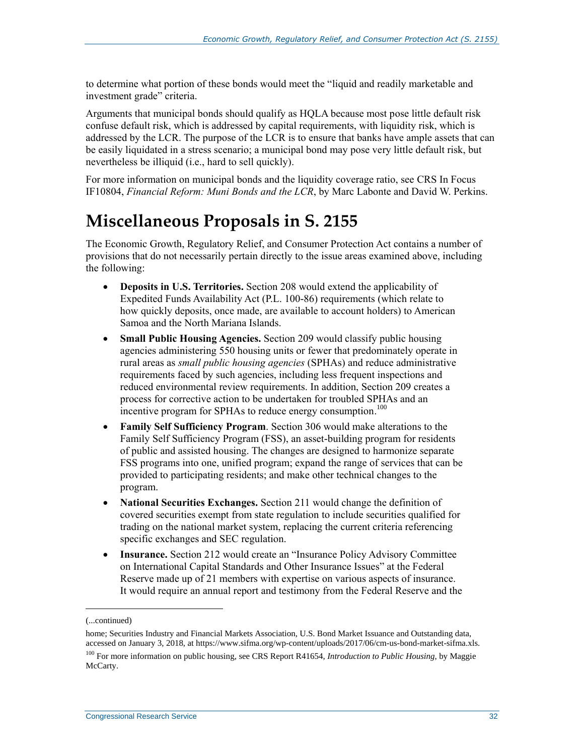to determine what portion of these bonds would meet the "liquid and readily marketable and investment grade" criteria.

Arguments that municipal bonds should qualify as HQLA because most pose little default risk confuse default risk, which is addressed by capital requirements, with liquidity risk, which is addressed by the LCR. The purpose of the LCR is to ensure that banks have ample assets that can be easily liquidated in a stress scenario; a municipal bond may pose very little default risk, but nevertheless be illiquid (i.e., hard to sell quickly).

For more information on municipal bonds and the liquidity coverage ratio, see CRS In Focus IF10804, *[Financial Reform: Muni](http://www.crs.gov/Reports/IF10804) Bonds and the LCR*, by Marc Labonte and David W. Perkins.

## <span id="page-36-0"></span>**Miscellaneous Proposals in S. 2155**

The Economic Growth, Regulatory Relief, and Consumer Protection Act contains a number of provisions that do not necessarily pertain directly to the issue areas examined above, including the following:

- **Deposits in U.S. Territories.** Section 208 would extend the applicability of Expedited Funds Availability Act [\(P.L. 100-86\)](http://www.congress.gov/cgi-lis/bdquery/R?d100:FLD002:@1(100+86)) requirements (which relate to how quickly deposits, once made, are available to account holders) to American Samoa and the North Mariana Islands.
- **Small Public Housing Agencies.** Section 209 would classify public housing agencies administering 550 housing units or fewer that predominately operate in rural areas as *small public housing agencies* (SPHAs) and reduce administrative requirements faced by such agencies, including less frequent inspections and reduced environmental review requirements. In addition, Section 209 creates a process for corrective action to be undertaken for troubled SPHAs and an incentive program for SPHAs to reduce energy consumption.<sup>100</sup>
- **Family Self Sufficiency Program**. Section 306 would make alterations to the Family Self Sufficiency Program (FSS), an asset-building program for residents of public and assisted housing. The changes are designed to harmonize separate FSS programs into one, unified program; expand the range of services that can be provided to participating residents; and make other technical changes to the program.
- **National Securities Exchanges.** Section 211 would change the definition of covered securities exempt from state regulation to include securities qualified for trading on the national market system, replacing the current criteria referencing specific exchanges and SEC regulation.
- **Insurance.** Section 212 would create an "Insurance Policy Advisory Committee on International Capital Standards and Other Insurance Issues" at the Federal Reserve made up of 21 members with expertise on various aspects of insurance. It would require an annual report and testimony from the Federal Reserve and the

<sup>(...</sup>continued)

home; Securities Industry and Financial Markets Association, U.S. Bond Market Issuance and Outstanding data, accessed on January 3, 2018, at https://www.sifma.org/wp-content/uploads/2017/06/cm-us-bond-market-sifma.xls.

<sup>&</sup>lt;sup>100</sup> For more information on public housing, see CRS Report R41654, *Introduction to Public Housing*, by Maggie McCarty.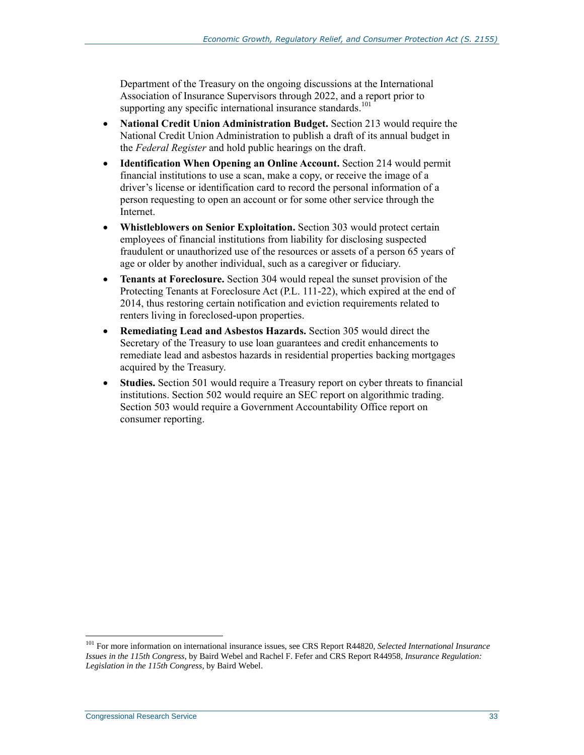Department of the Treasury on the ongoing discussions at the International Association of Insurance Supervisors through 2022, and a report prior to supporting any specific international insurance standards.<sup>101</sup>

- **National Credit Union Administration Budget.** Section 213 would require the National Credit Union Administration to publish a draft of its annual budget in the *Federal Register* and hold public hearings on the draft.
- **Identification When Opening an Online Account.** Section 214 would permit financial institutions to use a scan, make a copy, or receive the image of a driver's license or identification card to record the personal information of a person requesting to open an account or for some other service through the Internet.
- **Whistleblowers on Senior Exploitation.** Section 303 would protect certain employees of financial institutions from liability for disclosing suspected fraudulent or unauthorized use of the resources or assets of a person 65 years of age or older by another individual, such as a caregiver or fiduciary.
- **Tenants at Foreclosure.** Section 304 would repeal the sunset provision of the Protecting Tenants at Foreclosure Act (P.L. 111-22), which expired at the end of 2014, thus restoring certain notification and eviction requirements related to renters living in foreclosed-upon properties.
- **Remediating Lead and Asbestos Hazards.** Section 305 would direct the Secretary of the Treasury to use loan guarantees and credit enhancements to remediate lead and asbestos hazards in residential properties backing mortgages acquired by the Treasury.
- **Studies.** Section 501 would require a Treasury report on cyber threats to financial institutions. Section 502 would require an SEC report on algorithmic trading. Section 503 would require a Government Accountability Office report on consumer reporting.

<sup>101</sup> For more information on international insurance issues, see CRS Report R44820, *Selected International Insurance Issues in the 115th Congress*, by Baird Webel and Rachel F. Fefer and CRS Report R44958, *Insurance Regulation: Legislation in the 115th Congress*, by Baird Webel.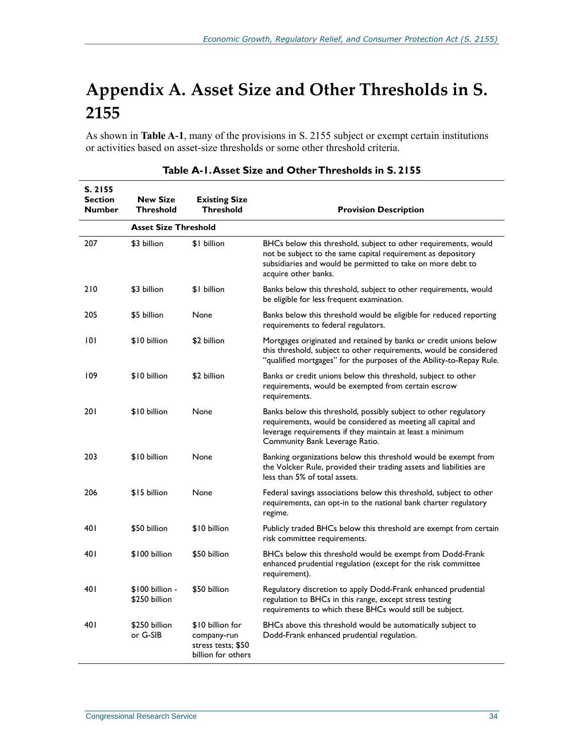## <span id="page-38-0"></span>**Appendix A. Asset Size and Other Thresholds in S. 2155**

As shown in **[Table A-1](#page-38-1)**, many of the provisions in [S. 2155](http://www.congress.gov/cgi-lis/bdquery/z?d115:S.2155:) subject or exempt certain institutions or activities based on asset-size thresholds or some other threshold criteria.

<span id="page-38-1"></span>

| S. 2155<br><b>Section</b><br><b>Number</b> | <b>New Size</b><br><b>Threshold</b> | <b>Existing Size</b><br>Threshold                                           | <b>Provision Description</b>                                                                                                                                                                                                    |
|--------------------------------------------|-------------------------------------|-----------------------------------------------------------------------------|---------------------------------------------------------------------------------------------------------------------------------------------------------------------------------------------------------------------------------|
|                                            | <b>Asset Size Threshold</b>         |                                                                             |                                                                                                                                                                                                                                 |
| 207                                        | \$3 billion                         | \$1 billion                                                                 | BHCs below this threshold, subject to other requirements, would<br>not be subject to the same capital requirement as depository<br>subsidiaries and would be permitted to take on more debt to<br>acquire other banks.          |
| 210                                        | \$3 billion                         | \$1 billion                                                                 | Banks below this threshold, subject to other requirements, would<br>be eligible for less frequent examination.                                                                                                                  |
| 205                                        | \$5 billion                         | None                                                                        | Banks below this threshold would be eligible for reduced reporting<br>requirements to federal regulators.                                                                                                                       |
| 101                                        | \$10 billion                        | \$2 billion                                                                 | Mortgages originated and retained by banks or credit unions below<br>this threshold, subject to other requirements, would be considered<br>"qualified mortgages" for the purposes of the Ability-to-Repay Rule.                 |
| 109                                        | \$10 billion                        | \$2 billion                                                                 | Banks or credit unions below this threshold, subject to other<br>requirements, would be exempted from certain escrow<br>requirements.                                                                                           |
| 201                                        | \$10 billion                        | None                                                                        | Banks below this threshold, possibly subject to other regulatory<br>requirements, would be considered as meeting all capital and<br>leverage requirements if they maintain at least a minimum<br>Community Bank Leverage Ratio. |
| 203                                        | \$10 billion                        | None                                                                        | Banking organizations below this threshold would be exempt from<br>the Volcker Rule, provided their trading assets and liabilities are<br>less than 5% of total assets.                                                         |
| 206                                        | \$15 billion                        | None                                                                        | Federal savings associations below this threshold, subject to other<br>requirements, can opt-in to the national bank charter regulatory<br>regime.                                                                              |
| 40 I                                       | \$50 billion                        | \$10 billion                                                                | Publicly traded BHCs below this threshold are exempt from certain<br>risk committee requirements.                                                                                                                               |
| 40 I                                       | \$100 billion                       | \$50 billion                                                                | BHCs below this threshold would be exempt from Dodd-Frank<br>enhanced prudential regulation (except for the risk committee<br>requirement).                                                                                     |
| 40 I                                       | $$100 billion -$<br>\$250 billion   | \$50 billion                                                                | Regulatory discretion to apply Dodd-Frank enhanced prudential<br>regulation to BHCs in this range, except stress testing<br>requirements to which these BHCs would still be subject.                                            |
| 40 I                                       | \$250 billion<br>or G-SIB           | \$10 billion for<br>company-run<br>stress tests; \$50<br>billion for others | BHCs above this threshold would be automatically subject to<br>Dodd-Frank enhanced prudential regulation.                                                                                                                       |

#### **Table A-1. Asset Size and Other Thresholds in S. 2155**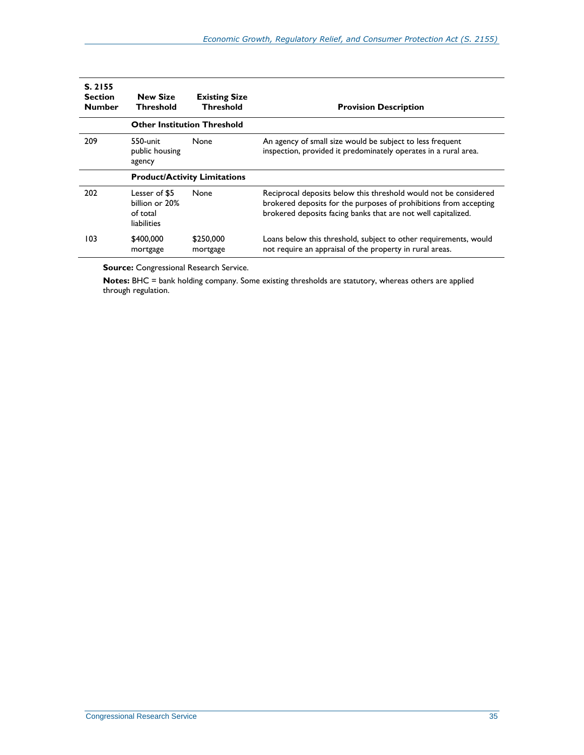| S. 2155<br><b>Section</b><br><b>Number</b> | <b>New Size</b><br><b>Threshold</b>                        | <b>Existing Size</b><br><b>Threshold</b> | <b>Provision Description</b>                                                                                                                                                                           |
|--------------------------------------------|------------------------------------------------------------|------------------------------------------|--------------------------------------------------------------------------------------------------------------------------------------------------------------------------------------------------------|
|                                            |                                                            | <b>Other Institution Threshold</b>       |                                                                                                                                                                                                        |
| 209                                        | $550$ -unit<br>public housing<br>agency                    | None                                     | An agency of small size would be subject to less frequent<br>inspection, provided it predominately operates in a rural area.                                                                           |
|                                            |                                                            | <b>Product/Activity Limitations</b>      |                                                                                                                                                                                                        |
| 202                                        | Lesser of \$5<br>billion or 20%<br>of total<br>liabilities | None                                     | Reciprocal deposits below this threshold would not be considered<br>brokered deposits for the purposes of prohibitions from accepting<br>brokered deposits facing banks that are not well capitalized. |
| 103                                        | \$400,000<br>mortgage                                      | \$250,000<br>mortgage                    | Loans below this threshold, subject to other requirements, would<br>not require an appraisal of the property in rural areas.                                                                           |

**Source: Congressional Research Service.** 

**Notes:** BHC = bank holding company. Some existing thresholds are statutory, whereas others are applied through regulation.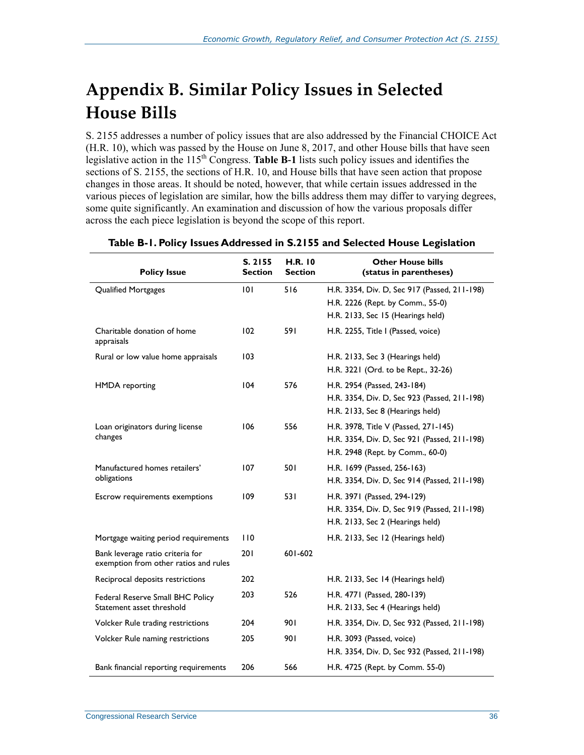## **Appendix B. Similar Policy Issues in Selected House Bills**

S. 2155 addresses a number of policy issues that are also addressed by the Financial CHOICE Act [\(H.R. 10\)](http://www.congress.gov/cgi-lis/bdquery/z?d115:H.R.10:), which was passed by the House on June 8, 2017, and other House bills that have seen legislative action in the 115<sup>th</sup> Congress. **[Table B-1](#page-40-0)** lists such policy issues and identifies the sections of S. 2155, the sections of [H.R. 10,](http://www.congress.gov/cgi-lis/bdquery/z?d115:H.R.10:) and House bills that have seen action that propose changes in those areas. It should be noted, however, that while certain issues addressed in the various pieces of legislation are similar, how the bills address them may differ to varying degrees, some quite significantly. An examination and discussion of how the various proposals differ across the each piece legislation is beyond the scope of this report.

| <b>Policy Issue</b>                                                       | S. 2155<br><b>Section</b> | <b>H.R. 10</b><br><b>Section</b> | <b>Other House bills</b><br>(status in parentheses) |
|---------------------------------------------------------------------------|---------------------------|----------------------------------|-----------------------------------------------------|
| Qualified Mortgages                                                       | 101                       | 516                              | H.R. 3354, Div. D, Sec 917 (Passed, 211-198)        |
|                                                                           |                           |                                  | H.R. 2226 (Rept. by Comm., 55-0)                    |
|                                                                           |                           |                                  | H.R. 2133, Sec 15 (Hearings held)                   |
| Charitable donation of home<br>appraisals                                 | 102                       | 591                              | H.R. 2255, Title I (Passed, voice)                  |
| Rural or low value home appraisals                                        | 103                       |                                  | H.R. 2133, Sec 3 (Hearings held)                    |
|                                                                           |                           |                                  | H.R. 3221 (Ord. to be Rept., 32-26)                 |
| <b>HMDA</b> reporting                                                     | 104                       | 576                              | H.R. 2954 (Passed, 243-184)                         |
|                                                                           |                           |                                  | H.R. 3354, Div. D, Sec 923 (Passed, 211-198)        |
|                                                                           |                           |                                  | H.R. 2133, Sec 8 (Hearings held)                    |
| Loan originators during license                                           | 106                       | 556                              | H.R. 3978, Title V (Passed, 271-145)                |
| changes                                                                   |                           |                                  | H.R. 3354, Div. D, Sec 921 (Passed, 211-198)        |
|                                                                           |                           |                                  | H.R. 2948 (Rept. by Comm., 60-0)                    |
| Manufactured homes retailers'                                             | 107                       | 501                              | H.R. 1699 (Passed, 256-163)                         |
| obligations                                                               |                           |                                  | H.R. 3354, Div. D, Sec 914 (Passed, 211-198)        |
| Escrow requirements exemptions                                            | 109                       | 531                              | H.R. 3971 (Passed, 294-129)                         |
|                                                                           |                           |                                  | H.R. 3354, Div. D, Sec 919 (Passed, 211-198)        |
|                                                                           |                           |                                  | H.R. 2133, Sec 2 (Hearings held)                    |
| Mortgage waiting period requirements                                      | 110                       |                                  | H.R. 2133, Sec 12 (Hearings held)                   |
| Bank leverage ratio criteria for<br>exemption from other ratios and rules | 201                       | 601-602                          |                                                     |
| Reciprocal deposits restrictions                                          | 202                       |                                  | H.R. 2133, Sec 14 (Hearings held)                   |
| Federal Reserve Small BHC Policy                                          | 203                       | 526                              | H.R. 4771 (Passed, 280-139)                         |
| Statement asset threshold                                                 |                           |                                  | H.R. 2133, Sec 4 (Hearings held)                    |
| Volcker Rule trading restrictions                                         | 204                       | 901                              | H.R. 3354, Div. D, Sec 932 (Passed, 211-198)        |
| Volcker Rule naming restrictions                                          | 205                       | 901                              | H.R. 3093 (Passed, voice)                           |
|                                                                           |                           |                                  | H.R. 3354, Div. D, Sec 932 (Passed, 211-198)        |
| Bank financial reporting requirements                                     | 206                       | 566                              | H.R. 4725 (Rept. by Comm. 55-0)                     |

#### <span id="page-40-0"></span>**Table B-1. Policy Issues Addressed in S.2155 and Selected House Legislation**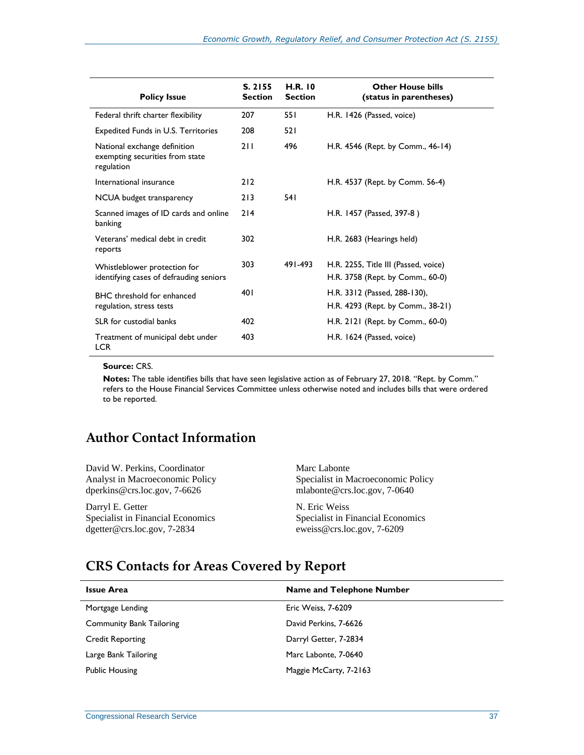<span id="page-41-0"></span>

| <b>Policy Issue</b>                                                           | S. 2155<br><b>Section</b> | $H.R.$ 10<br><b>Section</b> | <b>Other House bills</b><br>(status in parentheses)                      |
|-------------------------------------------------------------------------------|---------------------------|-----------------------------|--------------------------------------------------------------------------|
| Federal thrift charter flexibility                                            | 207                       | 55 I                        | H.R. 1426 (Passed, voice)                                                |
| <b>Expedited Funds in U.S. Territories</b>                                    | 208                       | 521                         |                                                                          |
| National exchange definition<br>exempting securities from state<br>regulation | 211                       | 496                         | H.R. 4546 (Rept. by Comm., 46-14)                                        |
| International insurance                                                       | 212                       |                             | H.R. 4537 (Rept. by Comm. 56-4)                                          |
| NCUA budget transparency                                                      | 213                       | 541                         |                                                                          |
| Scanned images of ID cards and online<br>banking                              | 214                       |                             | H.R. 1457 (Passed, 397-8)                                                |
| Veterans' medical debt in credit<br>reports                                   | 302                       |                             | H.R. 2683 (Hearings held)                                                |
| Whistleblower protection for<br>identifying cases of defrauding seniors       | 303                       | 491-493                     | H.R. 2255, Title III (Passed, voice)<br>H.R. 3758 (Rept. by Comm., 60-0) |
| BHC threshold for enhanced<br>regulation, stress tests                        | 401                       |                             | H.R. 3312 (Passed, 288-130),<br>H.R. 4293 (Rept. by Comm., 38-21)        |
| SLR for custodial banks                                                       | 402                       |                             | H.R. 2121 (Rept. by Comm., 60-0)                                         |
| Treatment of municipal debt under<br><b>LCR</b>                               | 403                       |                             | H.R. 1624 (Passed, voice)                                                |

#### **Source:** CRS.

**Notes:** The table identifies bills that have seen legislative action as of February 27, 2018. "Rept. by Comm." refers to the House Financial Services Committee unless otherwise noted and includes bills that were ordered to be reported.

#### **Author Contact Information**

David W. Perkins, Coordinator Analyst in Macroeconomic Policy dperkins@crs.loc.gov, 7-6626

Darryl E. Getter Specialist in Financial Economics dgetter@crs.loc.gov, 7-2834

Marc Labonte Specialist in Macroeconomic Policy [mlabonte@crs.loc.gov,](mailto:mlabonte@crs.loc.gov) 7-0640

N. Eric Weiss Specialist in Financial Economics [eweiss@crs.loc.gov,](mailto:eweiss@crs.loc.gov) 7-6209

#### **CRS Contacts for Areas Covered by Report**

| <b>Issue Area</b>               | <b>Name and Telephone Number</b> |
|---------------------------------|----------------------------------|
| Mortgage Lending                | Eric Weiss, 7-6209               |
| <b>Community Bank Tailoring</b> | David Perkins, 7-6626            |
| <b>Credit Reporting</b>         | Darryl Getter, 7-2834            |
| Large Bank Tailoring            | Marc Labonte, 7-0640             |
| <b>Public Housing</b>           | Maggie McCarty, 7-2163           |